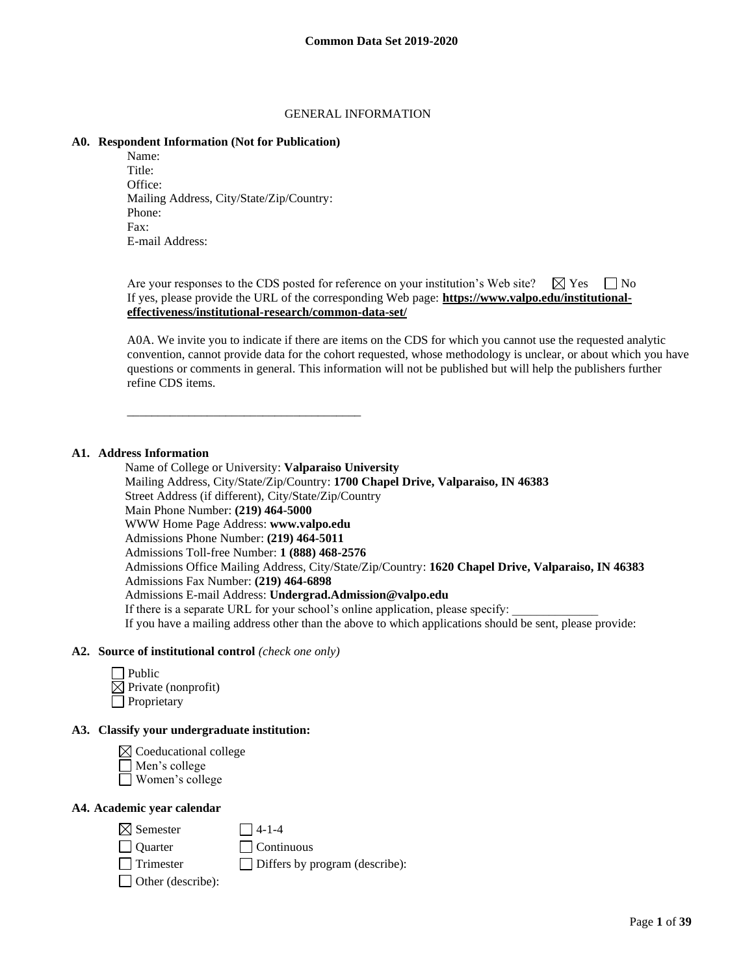#### GENERAL INFORMATION

#### **A0. Respondent Information (Not for Publication)**

Name: Title: Office: Mailing Address, City/State/Zip/Country: Phone: Fax: E-mail Address:

\_\_\_\_\_\_\_\_\_\_\_\_\_\_\_\_\_\_\_\_\_\_\_\_\_\_\_\_\_\_\_\_\_\_\_\_\_\_

Are your responses to the CDS posted for reference on your institution's Web site?  $\Box$  Yes  $\Box$  No If yes, please provide the URL of the corresponding Web page: **https://www.valpo.edu/institutionaleffectiveness/institutional-research/common-data-set/**

A0A. We invite you to indicate if there are items on the CDS for which you cannot use the requested analytic convention, cannot provide data for the cohort requested, whose methodology is unclear, or about which you have questions or comments in general. This information will not be published but will help the publishers further refine CDS items.

## **A1. Address Information**

Name of College or University: **Valparaiso University** Mailing Address, City/State/Zip/Country: **1700 Chapel Drive, Valparaiso, IN 46383** Street Address (if different), City/State/Zip/Country Main Phone Number: **(219) 464-5000** WWW Home Page Address: **www.valpo.edu** Admissions Phone Number: **(219) 464-5011** Admissions Toll-free Number: **1 (888) 468-2576** Admissions Office Mailing Address, City/State/Zip/Country: **1620 Chapel Drive, Valparaiso, IN 46383** Admissions Fax Number: **(219) 464-6898** Admissions E-mail Address: **Undergrad.Admission@valpo.edu** If there is a separate URL for your school's online application, please specify: If you have a mailing address other than the above to which applications should be sent, please provide:

#### **A2. Source of institutional control** *(check one only)*

| Public                          |
|---------------------------------|
| $\boxtimes$ Private (nonprofit) |
| Proprietary                     |

## **A3. Classify your undergraduate institution:**



# **A4. Academic year calendar**

| $\boxtimes$ Semester     | $\Box$ 4-1-4                          |
|--------------------------|---------------------------------------|
| Quarter                  | $\Box$ Continuous                     |
| $\Box$ Trimester         | $\Box$ Differs by program (describe): |
| $\Box$ Other (describe): |                                       |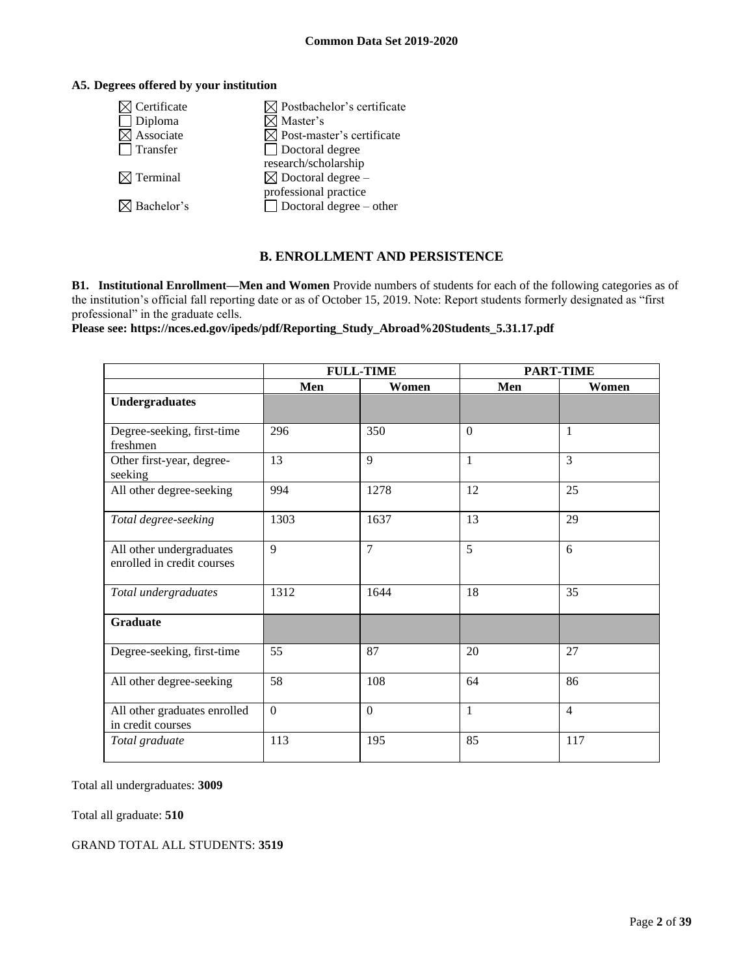## **A5. Degrees offered by your institution**

| Certificate            | $\boxtimes$ Postbachelor's certificate |
|------------------------|----------------------------------------|
| Diploma                | √ Master's                             |
| Associate              | $\boxtimes$ Post-master's certificate  |
| Transfer               | □ Doctoral degree                      |
|                        | research/scholarship                   |
| $\boxtimes$ Terminal   | $\boxtimes$ Doctoral degree –          |
|                        | professional practice                  |
| $\boxtimes$ Bachelor's | $\Box$ Doctoral degree – other         |
|                        |                                        |

## **B. ENROLLMENT AND PERSISTENCE**

**B1. Institutional Enrollment—Men and Women** Provide numbers of students for each of the following categories as of the institution's official fall reporting date or as of October 15, 2019. Note: Report students formerly designated as "first professional" in the graduate cells.

**Please see: https://nces.ed.gov/ipeds/pdf/Reporting\_Study\_Abroad%20Students\_5.31.17.pdf**

|                                                        | <b>FULL-TIME</b> |                | <b>PART-TIME</b> |                |
|--------------------------------------------------------|------------------|----------------|------------------|----------------|
|                                                        | Men              | Women          | Men              | Women          |
| <b>Undergraduates</b>                                  |                  |                |                  |                |
| Degree-seeking, first-time<br>freshmen                 | 296              | 350            | $\theta$         | 1              |
| Other first-year, degree-<br>seeking                   | 13               | $\overline{9}$ | 1                | $\overline{3}$ |
| All other degree-seeking                               | 994              | 1278           | 12               | 25             |
| Total degree-seeking                                   | 1303             | 1637           | 13               | 29             |
| All other undergraduates<br>enrolled in credit courses | 9                | $\overline{7}$ | 5                | 6              |
| Total undergraduates                                   | 1312             | 1644           | 18               | 35             |
| <b>Graduate</b>                                        |                  |                |                  |                |
| Degree-seeking, first-time                             | 55               | 87             | 20               | 27             |
| All other degree-seeking                               | 58               | 108            | 64               | 86             |
| All other graduates enrolled<br>in credit courses      | $\mathbf{0}$     | $\mathbf{0}$   | 1                | $\overline{4}$ |
| Total graduate                                         | 113              | 195            | 85               | 117            |

Total all undergraduates: **3009**

Total all graduate: **510**

GRAND TOTAL ALL STUDENTS: **3519**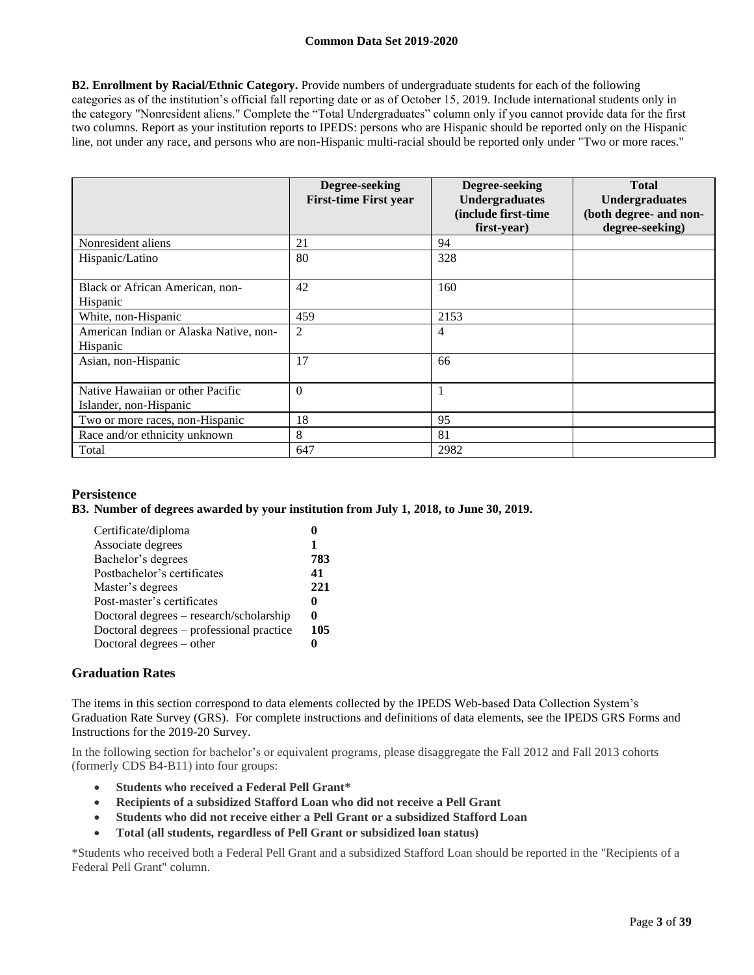**B2. Enrollment by Racial/Ethnic Category.** Provide numbers of undergraduate students for each of the following categories as of the institution's official fall reporting date or as of October 15, 2019. Include international students only in the category "Nonresident aliens." Complete the "Total Undergraduates" column only if you cannot provide data for the first two columns. Report as your institution reports to IPEDS: persons who are Hispanic should be reported only on the Hispanic line, not under any race, and persons who are non-Hispanic multi-racial should be reported only under "Two or more races."

|                                                            | Degree-seeking<br><b>First-time First year</b> | Degree-seeking<br><b>Undergraduates</b><br>(include first-time)<br>first-year) | <b>Total</b><br><b>Undergraduates</b><br>(both degree- and non-<br>degree-seeking) |
|------------------------------------------------------------|------------------------------------------------|--------------------------------------------------------------------------------|------------------------------------------------------------------------------------|
| Nonresident aliens                                         | 21                                             | 94                                                                             |                                                                                    |
| Hispanic/Latino                                            | 80                                             | 328                                                                            |                                                                                    |
| Black or African American, non-<br>Hispanic                | 42                                             | 160                                                                            |                                                                                    |
| White, non-Hispanic                                        | 459                                            | 2153                                                                           |                                                                                    |
| American Indian or Alaska Native, non-<br>Hispanic         | $\overline{c}$                                 | 4                                                                              |                                                                                    |
| Asian, non-Hispanic                                        | 17                                             | 66                                                                             |                                                                                    |
| Native Hawaiian or other Pacific<br>Islander, non-Hispanic | $\Omega$                                       |                                                                                |                                                                                    |
| Two or more races, non-Hispanic                            | 18                                             | 95                                                                             |                                                                                    |
| Race and/or ethnicity unknown                              | 8                                              | 81                                                                             |                                                                                    |
| Total                                                      | 647                                            | 2982                                                                           |                                                                                    |

## **Persistence**

#### **B3. Number of degrees awarded by your institution from July 1, 2018, to June 30, 2019.**

| Certificate/diploma                      |     |
|------------------------------------------|-----|
| Associate degrees                        |     |
| Bachelor's degrees                       | 783 |
| Postbachelor's certificates              | 41  |
| Master's degrees                         | 221 |
| Post-master's certificates               | o   |
| Doctoral degrees – research/scholarship  | 0   |
| Doctoral degrees – professional practice | 105 |
| Doctoral degrees – other                 |     |

#### **Graduation Rates**

The items in this section correspond to data elements collected by the IPEDS Web-based Data Collection System's Graduation Rate Survey (GRS). For complete instructions and definitions of data elements, see the IPEDS GRS Forms and Instructions for the 2019-20 Survey.

In the following section for bachelor's or equivalent programs, please disaggregate the Fall 2012 and Fall 2013 cohorts (formerly CDS B4-B11) into four groups:

- **Students who received a Federal Pell Grant\***
- **Recipients of a subsidized Stafford Loan who did not receive a Pell Grant**
- **Students who did not receive either a Pell Grant or a subsidized Stafford Loan**
- **Total (all students, regardless of Pell Grant or subsidized loan status)**

\*Students who received both a Federal Pell Grant and a subsidized Stafford Loan should be reported in the "Recipients of a Federal Pell Grant" column.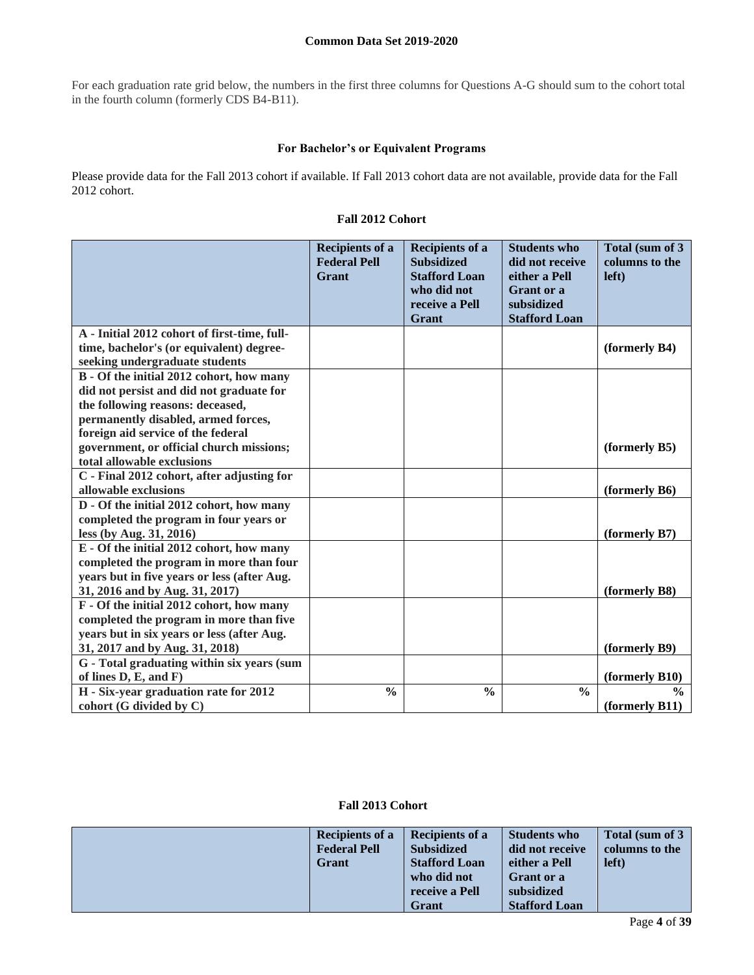For each graduation rate grid below, the numbers in the first three columns for Questions A-G should sum to the cohort total in the fourth column (formerly CDS B4-B11).

#### **For Bachelor's or Equivalent Programs**

Please provide data for the Fall 2013 cohort if available. If Fall 2013 cohort data are not available, provide data for the Fall 2012 cohort.

|                                              | <b>Recipients of a</b><br><b>Federal Pell</b><br>Grant | <b>Recipients of a</b><br><b>Subsidized</b><br><b>Stafford Loan</b><br>who did not<br>receive a Pell<br>Grant | <b>Students who</b><br>did not receive<br>either a Pell<br>Grant or a<br>subsidized<br><b>Stafford Loan</b> | Total (sum of 3<br>columns to the<br>left) |
|----------------------------------------------|--------------------------------------------------------|---------------------------------------------------------------------------------------------------------------|-------------------------------------------------------------------------------------------------------------|--------------------------------------------|
| A - Initial 2012 cohort of first-time, full- |                                                        |                                                                                                               |                                                                                                             |                                            |
| time, bachelor's (or equivalent) degree-     |                                                        |                                                                                                               |                                                                                                             | (formerly B4)                              |
| seeking undergraduate students               |                                                        |                                                                                                               |                                                                                                             |                                            |
| B - Of the initial 2012 cohort, how many     |                                                        |                                                                                                               |                                                                                                             |                                            |
| did not persist and did not graduate for     |                                                        |                                                                                                               |                                                                                                             |                                            |
| the following reasons: deceased,             |                                                        |                                                                                                               |                                                                                                             |                                            |
| permanently disabled, armed forces,          |                                                        |                                                                                                               |                                                                                                             |                                            |
| foreign aid service of the federal           |                                                        |                                                                                                               |                                                                                                             |                                            |
| government, or official church missions;     |                                                        |                                                                                                               |                                                                                                             | (formerly B5)                              |
| total allowable exclusions                   |                                                        |                                                                                                               |                                                                                                             |                                            |
| C - Final 2012 cohort, after adjusting for   |                                                        |                                                                                                               |                                                                                                             |                                            |
| allowable exclusions                         |                                                        |                                                                                                               |                                                                                                             | (formerly B6)                              |
| D - Of the initial 2012 cohort, how many     |                                                        |                                                                                                               |                                                                                                             |                                            |
| completed the program in four years or       |                                                        |                                                                                                               |                                                                                                             |                                            |
| less (by Aug. 31, 2016)                      |                                                        |                                                                                                               |                                                                                                             | (formerly B7)                              |
| E - Of the initial 2012 cohort, how many     |                                                        |                                                                                                               |                                                                                                             |                                            |
| completed the program in more than four      |                                                        |                                                                                                               |                                                                                                             |                                            |
| years but in five years or less (after Aug.  |                                                        |                                                                                                               |                                                                                                             |                                            |
| 31, 2016 and by Aug. 31, 2017)               |                                                        |                                                                                                               |                                                                                                             | (formerly B8)                              |
| F - Of the initial 2012 cohort, how many     |                                                        |                                                                                                               |                                                                                                             |                                            |
| completed the program in more than five      |                                                        |                                                                                                               |                                                                                                             |                                            |
| years but in six years or less (after Aug.   |                                                        |                                                                                                               |                                                                                                             |                                            |
| 31, 2017 and by Aug. 31, 2018)               |                                                        |                                                                                                               |                                                                                                             | (formerly B9)                              |
| G - Total graduating within six years (sum   |                                                        |                                                                                                               |                                                                                                             |                                            |
| of lines $D, E, and F$                       |                                                        |                                                                                                               |                                                                                                             | (formerly B10)                             |
| H - Six-year graduation rate for 2012        | $\frac{0}{0}$                                          | $\frac{0}{0}$                                                                                                 | $\frac{0}{0}$                                                                                               | $\frac{0}{0}$                              |
| cohort (G divided by C)                      |                                                        |                                                                                                               |                                                                                                             | (formerly B11)                             |

**Fall 2013 Cohort**

| <b>Recipients of a</b> | <b>Recipients of a</b> | <b>Students who</b>  | Total (sum of 3) |
|------------------------|------------------------|----------------------|------------------|
| <b>Federal Pell</b>    | <b>Subsidized</b>      | did not receive      | columns to the   |
| Grant                  | <b>Stafford Loan</b>   | either a Pell        | left)            |
|                        | who did not            | <b>Grant</b> or a    |                  |
|                        | receive a Pell         | subsidized           |                  |
|                        | <b>Grant</b>           | <b>Stafford Loan</b> |                  |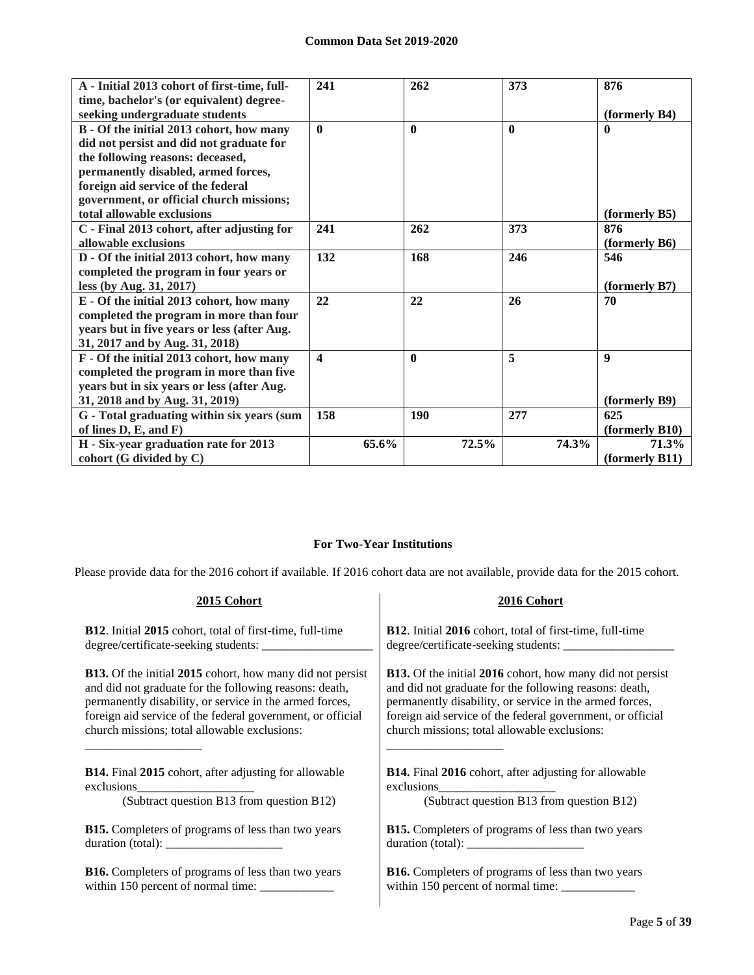| A - Initial 2013 cohort of first-time, full- | 241                     | 262          | 373          | 876                               |
|----------------------------------------------|-------------------------|--------------|--------------|-----------------------------------|
| time, bachelor's (or equivalent) degree-     |                         |              |              |                                   |
| seeking undergraduate students               |                         |              |              | (formerly B4)                     |
| B - Of the initial 2013 cohort, how many     | $\mathbf{0}$            | $\mathbf{0}$ | $\mathbf{0}$ | $\mathbf{0}$                      |
| did not persist and did not graduate for     |                         |              |              |                                   |
| the following reasons: deceased,             |                         |              |              |                                   |
| permanently disabled, armed forces,          |                         |              |              |                                   |
| foreign aid service of the federal           |                         |              |              |                                   |
| government, or official church missions;     |                         |              |              |                                   |
| total allowable exclusions                   |                         |              |              | (formerly B5)                     |
| C - Final 2013 cohort, after adjusting for   | 241                     | 262          | 373          | 876                               |
| allowable exclusions                         |                         |              |              | (formerly B6)                     |
| D - Of the initial 2013 cohort, how many     | 132                     | 168          | 246          | 546                               |
| completed the program in four years or       |                         |              |              |                                   |
| less (by Aug. 31, 2017)                      |                         |              |              | (formerly B7)                     |
| E - Of the initial 2013 cohort, how many     | 22                      | 22           | 26           | 70                                |
| completed the program in more than four      |                         |              |              |                                   |
| years but in five years or less (after Aug.  |                         |              |              |                                   |
| 31, 2017 and by Aug. 31, 2018)               |                         |              |              |                                   |
| F - Of the initial 2013 cohort, how many     | $\overline{\mathbf{4}}$ | $\mathbf{0}$ | 5            | $\boldsymbol{q}$                  |
| completed the program in more than five      |                         |              |              |                                   |
| years but in six years or less (after Aug.   |                         |              |              |                                   |
| 31, 2018 and by Aug. 31, 2019)               |                         |              |              | (formerly B9)                     |
| G - Total graduating within six years (sum   | 158                     | 190          | 277          | 625                               |
| of lines D, E, and F)                        |                         |              |              | (formerly B10)                    |
| H - Six-year graduation rate for 2013        | 65.6%                   | 72.5%        | 74.3%        | 71.3%                             |
| cohort (G divided by C)                      |                         |              |              | $(f \text{or} \text{merly } B11)$ |

## **For Two-Year Institutions**

Please provide data for the 2016 cohort if available. If 2016 cohort data are not available, provide data for the 2015 cohort.

| 2015 Cohort                                                      | 2016 Cohort                                                                                                     |
|------------------------------------------------------------------|-----------------------------------------------------------------------------------------------------------------|
| <b>B12.</b> Initial 2015 cohort, total of first-time, full-time  | <b>B12.</b> Initial 2016 cohort, total of first-time, full-time                                                 |
|                                                                  |                                                                                                                 |
| <b>B13.</b> Of the initial 2015 cohort, how many did not persist | <b>B13.</b> Of the initial 2016 cohort, how many did not persist                                                |
| and did not graduate for the following reasons: death,           | and did not graduate for the following reasons: death,                                                          |
| permanently disability, or service in the armed forces,          | permanently disability, or service in the armed forces,                                                         |
| foreign aid service of the federal government, or official       | foreign aid service of the federal government, or official                                                      |
| church missions; total allowable exclusions:                     | church missions; total allowable exclusions:                                                                    |
| <b>B14.</b> Final 2015 cohort, after adjusting for allowable     | <b>B14.</b> Final 2016 cohort, after adjusting for allowable                                                    |
|                                                                  |                                                                                                                 |
| (Subtract question B13 from question B12)                        | (Subtract question B13 from question B12)                                                                       |
| <b>B15.</b> Completers of programs of less than two years        | <b>B15.</b> Completers of programs of less than two years                                                       |
|                                                                  | duration (total): $\frac{1}{\sqrt{1-\frac{1}{2}}\sqrt{1-\frac{1}{2}}\sqrt{1-\frac{1}{2}}\sqrt{1-\frac{1}{2}}}}$ |
| <b>B16.</b> Completers of programs of less than two years        | <b>B16.</b> Completers of programs of less than two years                                                       |
|                                                                  |                                                                                                                 |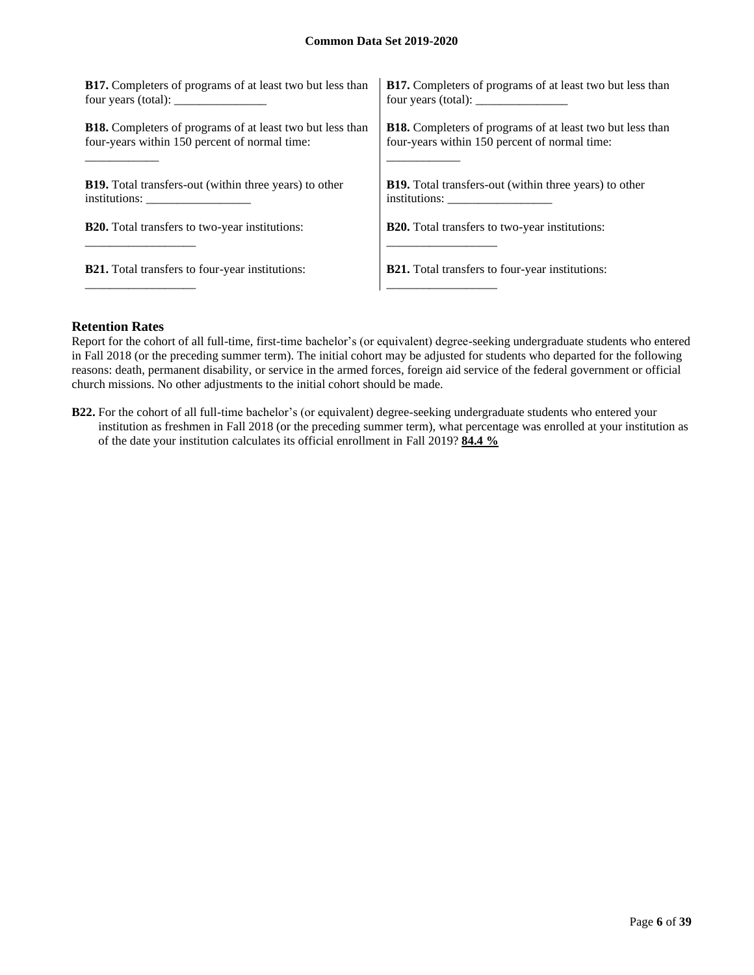| <b>B17.</b> Completers of programs of at least two but less than | <b>B17.</b> Completers of programs of at least two but less than                                                                                                                                                                                                                                  |
|------------------------------------------------------------------|---------------------------------------------------------------------------------------------------------------------------------------------------------------------------------------------------------------------------------------------------------------------------------------------------|
| four years (total): $\frac{1}{2}$                                | four years (total): $\frac{1}{2}$ = $\frac{1}{2}$ = $\frac{1}{2}$ = $\frac{1}{2}$ = $\frac{1}{2}$ = $\frac{1}{2}$ = $\frac{1}{2}$ = $\frac{1}{2}$ = $\frac{1}{2}$ = $\frac{1}{2}$ = $\frac{1}{2}$ = $\frac{1}{2}$ = $\frac{1}{2}$ = $\frac{1}{2}$ = $\frac{1}{2}$ = $\frac{1}{2}$ = $\frac{1}{2}$ |
| <b>B18.</b> Completers of programs of at least two but less than | <b>B18.</b> Completers of programs of at least two but less than                                                                                                                                                                                                                                  |
| four-years within 150 percent of normal time:                    | four-years within 150 percent of normal time:                                                                                                                                                                                                                                                     |
| <b>B19.</b> Total transfers-out (within three years) to other    | <b>B19.</b> Total transfers-out (within three years) to other                                                                                                                                                                                                                                     |
| institutions:                                                    |                                                                                                                                                                                                                                                                                                   |
| <b>B20.</b> Total transfers to two-year institutions:            | <b>B20.</b> Total transfers to two-year institutions:                                                                                                                                                                                                                                             |
| <b>B21.</b> Total transfers to four-year institutions:           | <b>B21.</b> Total transfers to four-year institutions:                                                                                                                                                                                                                                            |

#### **Retention Rates**

Report for the cohort of all full-time, first-time bachelor's (or equivalent) degree-seeking undergraduate students who entered in Fall 2018 (or the preceding summer term). The initial cohort may be adjusted for students who departed for the following reasons: death, permanent disability, or service in the armed forces, foreign aid service of the federal government or official church missions. No other adjustments to the initial cohort should be made.

**B22.** For the cohort of all full-time bachelor's (or equivalent) degree-seeking undergraduate students who entered your institution as freshmen in Fall 2018 (or the preceding summer term), what percentage was enrolled at your institution as of the date your institution calculates its official enrollment in Fall 2019? **84.4 %**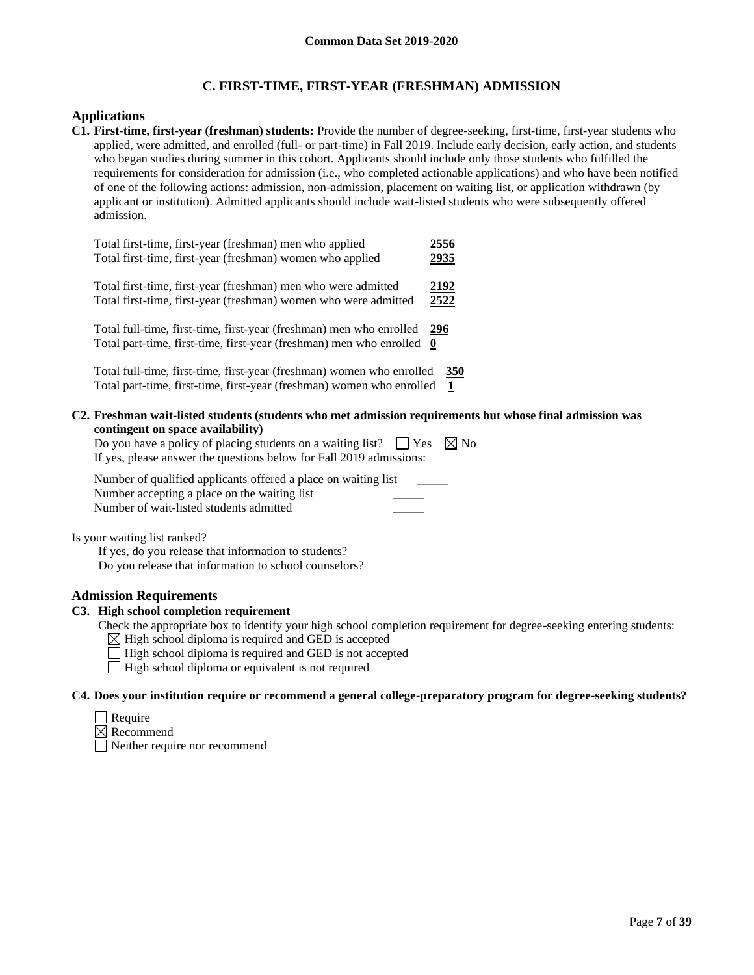## **C. FIRST-TIME, FIRST-YEAR (FRESHMAN) ADMISSION**

#### **Applications**

**C1. First-time, first-year (freshman) students:** Provide the number of degree-seeking, first-time, first-year students who applied, were admitted, and enrolled (full- or part-time) in Fall 2019. Include early decision, early action, and students who began studies during summer in this cohort. Applicants should include only those students who fulfilled the requirements for consideration for admission (i.e., who completed actionable applications) and who have been notified of one of the following actions: admission, non-admission, placement on waiting list, or application withdrawn (by applicant or institution). Admitted applicants should include wait-listed students who were subsequently offered admission.

| Total first-time, first-year (freshman) men who applied               | 2556     |
|-----------------------------------------------------------------------|----------|
| Total first-time, first-year (freshman) women who applied             | 2935     |
| Total first-time, first-year (freshman) men who were admitted         | 2192     |
| Total first-time, first-year (freshman) women who were admitted       | 2522     |
| Total full-time, first-time, first-year (freshman) men who enrolled   | 296      |
| Total part-time, first-time, first-year (freshman) men who enrolled   | $\bf{0}$ |
| Total full-time, first-time, first-year (freshman) women who enrolled | 350      |
| Total part-time, first-time, first-year (freshman) women who enrolled | 1        |

**C2. Freshman wait-listed students (students who met admission requirements but whose final admission was contingent on space availability)**

Do you have a policy of placing students on a waiting list?  $\Box$  Yes  $\boxtimes$  No If yes, please answer the questions below for Fall 2019 admissions:

Number of qualified applicants offered a place on waiting list Number accepting a place on the waiting list Number of wait-listed students admitted \_\_\_\_\_

Is your waiting list ranked?

If yes, do you release that information to students? Do you release that information to school counselors?

#### **Admission Requirements**

#### **C3. High school completion requirement**

- Check the appropriate box to identify your high school completion requirement for degree-seeking entering students:
	- $\boxtimes$  High school diploma is required and GED is accepted
	- $\Box$  High school diploma is required and GED is not accepted
	- $\Box$  High school diploma or equivalent is not required

#### **C4. Does your institution require or recommend a general college-preparatory program for degree-seeking students?**

| keauire |
|---------|
|         |

 $\boxtimes$  Recommend

Neither require nor recommend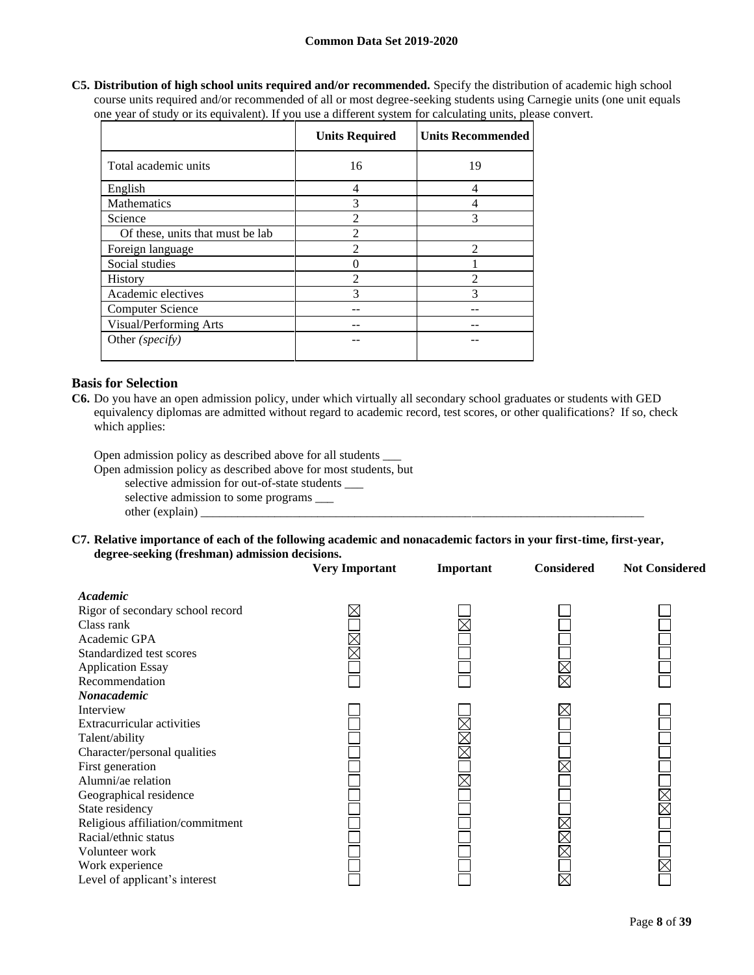**C5. Distribution of high school units required and/or recommended.** Specify the distribution of academic high school course units required and/or recommended of all or most degree-seeking students using Carnegie units (one unit equals one year of study or its equivalent). If you use a different system for calculating units, please convert.

|                                  | <b>Units Required</b> | <b>Units Recommended</b> |
|----------------------------------|-----------------------|--------------------------|
| Total academic units             | 16                    | 19                       |
| English                          | 4                     | 4                        |
| <b>Mathematics</b>               | 3                     | 4                        |
| Science                          | $\overline{2}$        | 3                        |
| Of these, units that must be lab | $\mathfrak{D}$        |                          |
| Foreign language                 | $\overline{2}$        | $\mathfrak{D}$           |
| Social studies                   |                       |                          |
| <b>History</b>                   | $\overline{2}$        | $\mathfrak{D}$           |
| Academic electives               | 3                     | 3                        |
| <b>Computer Science</b>          |                       |                          |
| Visual/Performing Arts           |                       |                          |
| Other (specify)                  |                       |                          |

#### **Basis for Selection**

**C6.** Do you have an open admission policy, under which virtually all secondary school graduates or students with GED equivalency diplomas are admitted without regard to academic record, test scores, or other qualifications? If so, check which applies:

Open admission policy as described above for all students \_\_\_

Open admission policy as described above for most students, but

selective admission for out-of-state students \_\_\_

selective admission to some programs \_\_\_ other (explain)

**C7. Relative importance of each of the following academic and nonacademic factors in your first-time, first-year, degree-seeking (freshman) admission decisions.**

|                                  | <b>Very Important</b> | Important | <b>Considered</b> | <b>Not Considered</b> |
|----------------------------------|-----------------------|-----------|-------------------|-----------------------|
| Academic                         |                       |           |                   |                       |
| Rigor of secondary school record |                       |           |                   |                       |
| Class rank                       |                       |           |                   |                       |
| Academic GPA                     |                       |           |                   |                       |
| Standardized test scores         | $\times$              |           |                   |                       |
| <b>Application Essay</b>         |                       |           |                   |                       |
| Recommendation                   |                       |           |                   |                       |
| Nonacademic                      |                       |           |                   |                       |
| Interview                        |                       |           |                   |                       |
| Extracurricular activities       |                       |           |                   |                       |
| Talent/ability                   |                       |           |                   |                       |
| Character/personal qualities     |                       |           |                   |                       |
| First generation                 |                       |           |                   |                       |
| Alumni/ae relation               |                       |           |                   |                       |
| Geographical residence           |                       |           |                   |                       |
| State residency                  |                       |           |                   |                       |
| Religious affiliation/commitment |                       |           |                   |                       |
| Racial/ethnic status             |                       |           |                   |                       |
| Volunteer work                   |                       |           |                   |                       |
| Work experience                  |                       |           |                   |                       |
| Level of applicant's interest    |                       |           |                   |                       |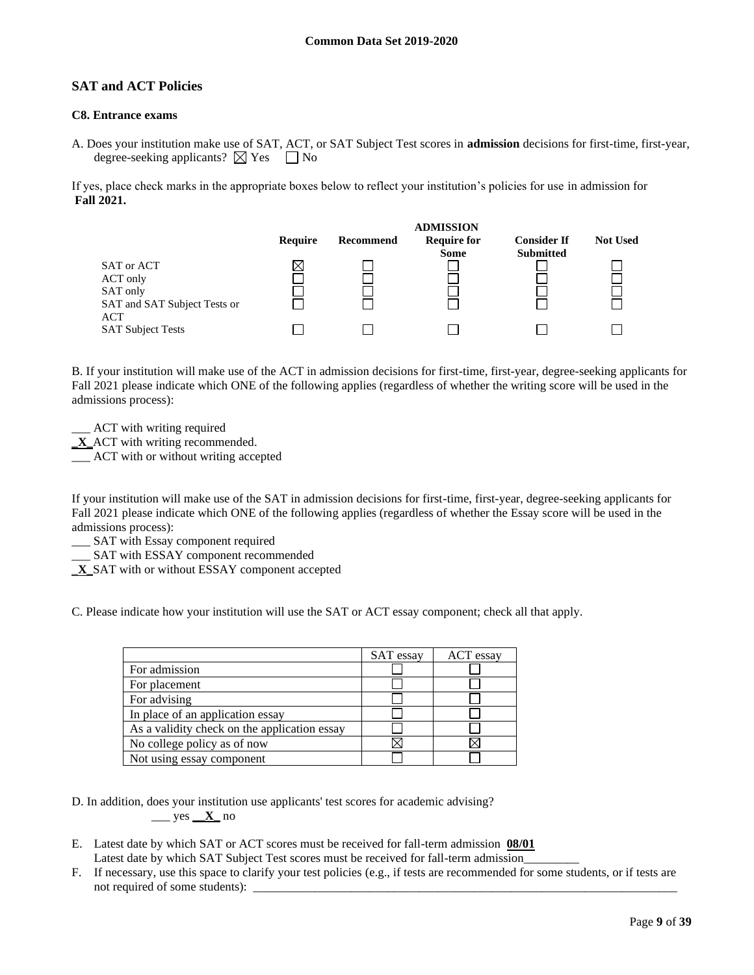## **SAT and ACT Policies**

## **C8. Entrance exams**

A. Does your institution make use of SAT, ACT, or SAT Subject Test scores in **admission** decisions for first-time, first-year, degree-seeking applicants?  $\boxtimes$  Yes  $\Box$  No

If yes, place check marks in the appropriate boxes below to reflect your institution's policies for use in admission for **Fall 2021.**



B. If your institution will make use of the ACT in admission decisions for first-time, first-year, degree-seeking applicants for Fall 2021 please indicate which ONE of the following applies (regardless of whether the writing score will be used in the admissions process):

\_\_\_ ACT with writing required **\_X\_**ACT with writing recommended.

\_\_\_ ACT with or without writing accepted

If your institution will make use of the SAT in admission decisions for first-time, first-year, degree-seeking applicants for Fall 2021 please indicate which ONE of the following applies (regardless of whether the Essay score will be used in the admissions process):

\_\_\_ SAT with Essay component required

\_\_\_ SAT with ESSAY component recommended

\_**X\_**SAT with or without ESSAY component accepted

C. Please indicate how your institution will use the SAT or ACT essay component; check all that apply.

|                                              | SAT essay | ACT essay |
|----------------------------------------------|-----------|-----------|
| For admission                                |           |           |
| For placement                                |           |           |
| For advising                                 |           |           |
| In place of an application essay             |           |           |
| As a validity check on the application essay |           |           |
| No college policy as of now                  |           |           |
| Not using essay component                    |           |           |

D. In addition, does your institution use applicants' test scores for academic advising? \_\_\_ yes **\_\_X\_** no

- E. Latest date by which SAT or ACT scores must be received for fall-term admission **08/01** Latest date by which SAT Subject Test scores must be received for fall-term admission\_
- F. If necessary, use this space to clarify your test policies (e.g., if tests are recommended for some students, or if tests are not required of some students):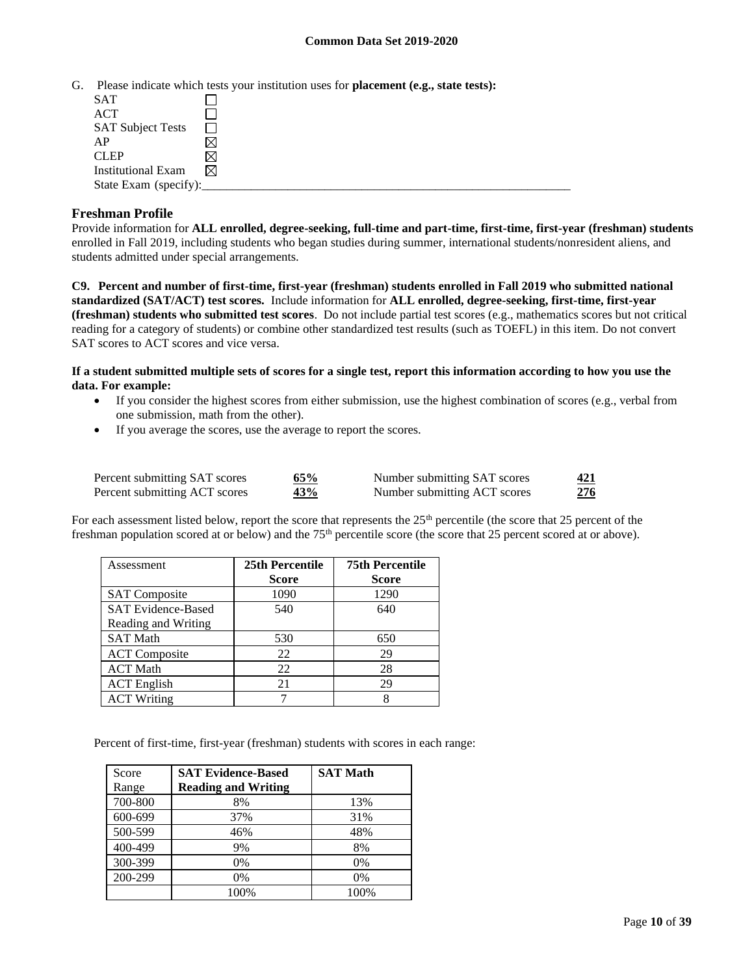G. Please indicate which tests your institution uses for **placement (e.g., state tests):**

| <b>SAT</b>                |   |
|---------------------------|---|
| ACT                       |   |
| <b>SAT Subject Tests</b>  |   |
| AP                        |   |
| <b>CLEP</b>               |   |
| <b>Institutional Exam</b> | M |
| State Exam (specify):     |   |

## **Freshman Profile**

Provide information for **ALL enrolled, degree-seeking, full-time and part-time, first-time, first-year (freshman) students**  enrolled in Fall 2019, including students who began studies during summer, international students/nonresident aliens, and students admitted under special arrangements.

**C9. Percent and number of first-time, first-year (freshman) students enrolled in Fall 2019 who submitted national standardized (SAT/ACT) test scores.** Include information for **ALL enrolled, degree-seeking, first-time, first-year (freshman) students who submitted test scores**. Do not include partial test scores (e.g., mathematics scores but not critical reading for a category of students) or combine other standardized test results (such as TOEFL) in this item. Do not convert SAT scores to ACT scores and vice versa.

**If a student submitted multiple sets of scores for a single test, report this information according to how you use the data. For example:** 

- If you consider the highest scores from either submission, use the highest combination of scores (e.g., verbal from one submission, math from the other).
- If you average the scores, use the average to report the scores.

| Percent submitting SAT scores | 65% | Number submitting SAT scores | 421 |
|-------------------------------|-----|------------------------------|-----|
| Percent submitting ACT scores | 43% | Number submitting ACT scores | 276 |

For each assessment listed below, report the score that represents the 25<sup>th</sup> percentile (the score that 25 percent of the freshman population scored at or below) and the 75<sup>th</sup> percentile score (the score that 25 percent scored at or above).

| Assessment                | 25th Percentile | <b>75th Percentile</b> |
|---------------------------|-----------------|------------------------|
|                           | <b>Score</b>    | <b>Score</b>           |
| <b>SAT Composite</b>      | 1090            | 1290                   |
| <b>SAT Evidence-Based</b> | 540             | 640                    |
| Reading and Writing       |                 |                        |
| <b>SAT Math</b>           | 530             | 650                    |
| <b>ACT</b> Composite      | 22              | 29                     |
| <b>ACT Math</b>           | 22              | 28                     |
| <b>ACT</b> English        | 21              | 29                     |
| <b>ACT Writing</b>        |                 |                        |

Percent of first-time, first-year (freshman) students with scores in each range:

| Score   | <b>SAT Evidence-Based</b>  | <b>SAT Math</b> |
|---------|----------------------------|-----------------|
| Range   | <b>Reading and Writing</b> |                 |
| 700-800 | 8%                         | 13%             |
| 600-699 | 37%                        | 31%             |
| 500-599 | 46%                        | 48%             |
| 400-499 | 9%                         | 8%              |
| 300-399 | 0%                         | 0%              |
| 200-299 | $0\%$                      | 0%              |
|         | 100%                       | 100%            |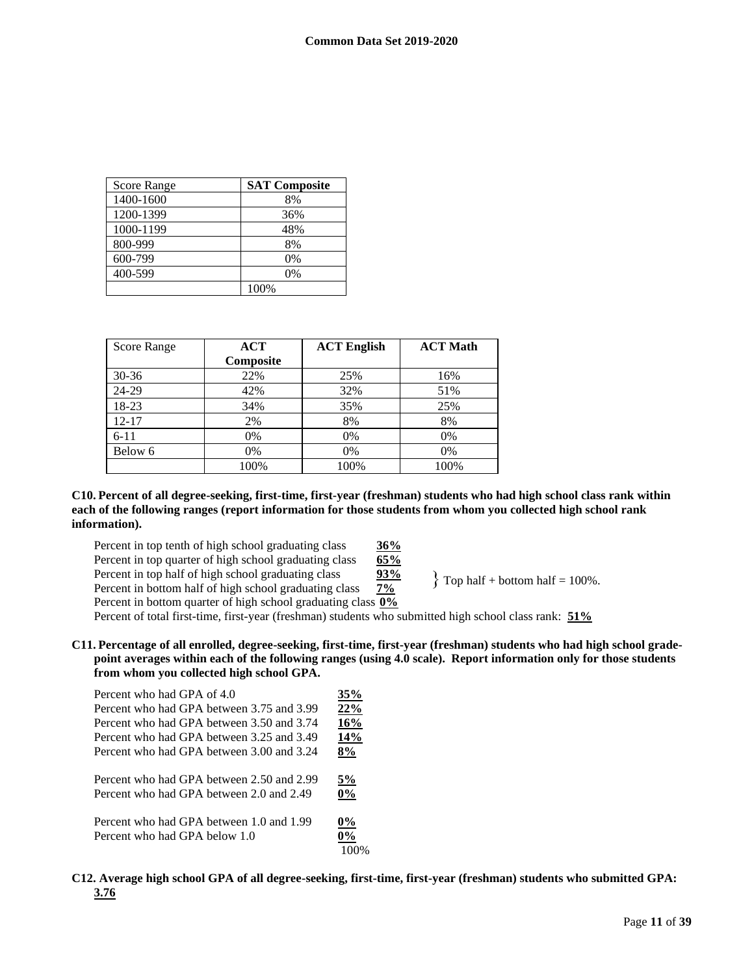| Score Range | <b>SAT Composite</b> |
|-------------|----------------------|
| 1400-1600   | 8%                   |
| 1200-1399   | 36%                  |
| 1000-1199   | 48%                  |
| 800-999     | 8%                   |
| 600-799     | 0%                   |
| 400-599     | 0%                   |
|             | 100%                 |

| <b>Score Range</b> | ACT       | <b>ACT English</b> | <b>ACT Math</b> |
|--------------------|-----------|--------------------|-----------------|
|                    | Composite |                    |                 |
| $30 - 36$          | 22%       | 25%                | 16%             |
| 24-29              | 42%       | 32%                | 51%             |
| 18-23              | 34%       | 35%                | 25%             |
| $12 - 17$          | 2%        | 8%                 | 8%              |
| $6 - 11$           | 0%        | 0%                 | 0%              |
| Below 6            | 0%        | 0%                 | 0%              |
|                    | 100%      | 100%               | 100%            |

#### **C10. Percent of all degree-seeking, first-time, first-year (freshman) students who had high school class rank within each of the following ranges (report information for those students from whom you collected high school rank information).**

Percent in top tenth of high school graduating class **36%**<br>Percent in top quarter of high school graduating class **65%** Percent in top quarter of high school graduating class **65%**<br>Percent in top half of high school graduating class **93%** Percent in top half of high school graduating class **93%**<br>Percent in bottom half of high school graduating class **7%** Percent in bottom half of high school graduating class

 $\}$  Top half + bottom half = 100%.

Percent in bottom quarter of high school graduating class **0%**

Percent of total first-time, first-year (freshman) students who submitted high school class rank: **51%**

**C11. Percentage of all enrolled, degree-seeking, first-time, first-year (freshman) students who had high school gradepoint averages within each of the following ranges (using 4.0 scale). Report information only for those students from whom you collected high school GPA.**

| Percent who had GPA of 4.0                                                            | 35%         |
|---------------------------------------------------------------------------------------|-------------|
| Percent who had GPA between 3.75 and 3.99                                             | 22%         |
| Percent who had GPA between 3.50 and 3.74                                             | 16%         |
| Percent who had GPA between 3.25 and 3.49                                             | 14%         |
| Percent who had GPA between 3.00 and 3.24                                             | 8%          |
| Percent who had GPA between 2.50 and 2.99<br>Percent who had GPA between 2.0 and 2.49 | 5%<br>$0\%$ |
| Percent who had GPA between 1.0 and 1.99<br>Percent who had GPA below 1.0             | $0\%$<br>0% |

**C12. Average high school GPA of all degree-seeking, first-time, first-year (freshman) students who submitted GPA: 3.76**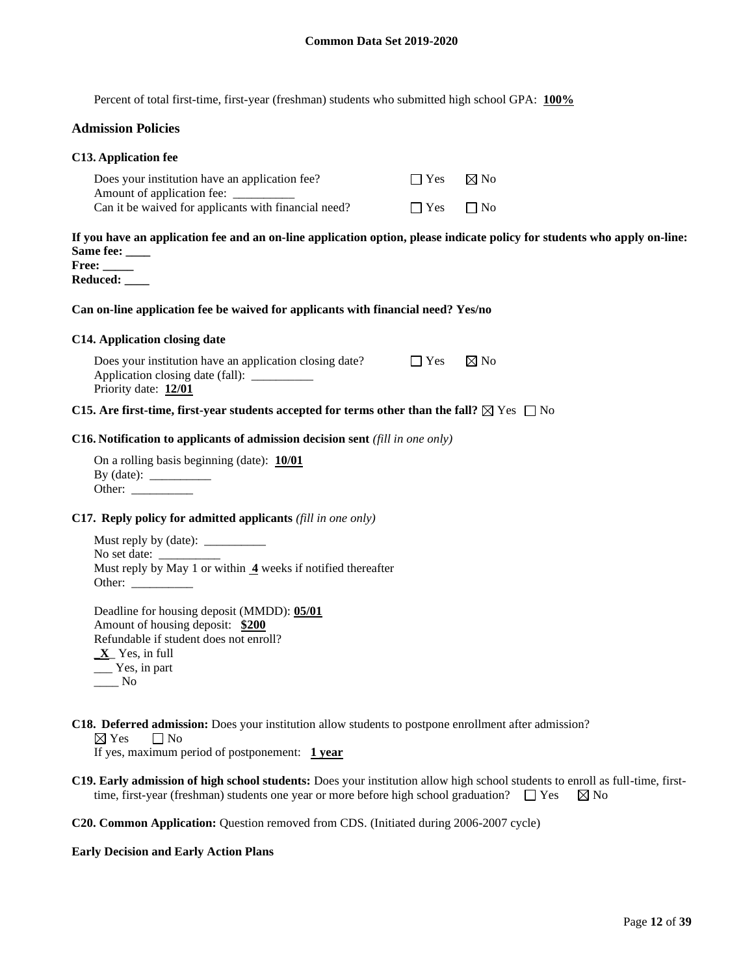Percent of total first-time, first-year (freshman) students who submitted high school GPA: **100%**

## **Admission Policies**

| C13. Application fee                                                                                                                                            |            |                |
|-----------------------------------------------------------------------------------------------------------------------------------------------------------------|------------|----------------|
| Does your institution have an application fee?<br>Amount of application fee: _________                                                                          | $\Box$ Yes | $\boxtimes$ No |
| Can it be waived for applicants with financial need?                                                                                                            | $\Box$ Yes | $\Box$ No      |
| If you have an application fee and an on-line application option, please indicate policy for students who apply on-line:<br>Same fee:<br>Free:<br>Reduced: ____ |            |                |
| Can on-line application fee be waived for applicants with financial need? Yes/no                                                                                |            |                |
| C14. Application closing date                                                                                                                                   |            |                |
| Does your institution have an application closing date?<br>Application closing date (fall): __________<br>Priority date: 12/01                                  | $\Box$ Yes | $\boxtimes$ No |
| C15. Are first-time, first-year students accepted for terms other than the fall? $\boxtimes$ Yes $\Box$ No                                                      |            |                |
| <b>C16.</b> Notification to applicants of admission decision sent (fill in one only)                                                                            |            |                |
| On a rolling basis beginning (date): $10/01$<br>Other: $\frac{1}{\sqrt{1-\frac{1}{2}}\cdot\frac{1}{2}}$                                                         |            |                |
| C17. Reply policy for admitted applicants (fill in one only)                                                                                                    |            |                |
| No set date: $\overline{\phantom{a}}$                                                                                                                           |            |                |
| Must reply by May 1 or within $\overline{4}$ weeks if notified thereafter                                                                                       |            |                |

Deadline for housing deposit (MMDD): **05/01** Amount of housing deposit: **\$200** Refundable if student does not enroll? **\_X**\_ Yes, in full \_\_\_ Yes, in part  $\_\_\_\$  No

**C18. Deferred admission:** Does your institution allow students to postpone enrollment after admission?<br> $\boxtimes$  Yes  $\Box$  No

 $\Box$  No

Other:  $\overline{\phantom{a}}$ 

If yes, maximum period of postponement: **1 year**

**C19. Early admission of high school students:** Does your institution allow high school students to enroll as full-time, firsttime, first-year (freshman) students one year or more before high school graduation?  $\Box$  Yes  $\boxtimes$  No

**C20. Common Application:** Question removed from CDS. (Initiated during 2006-2007 cycle)

#### **Early Decision and Early Action Plans**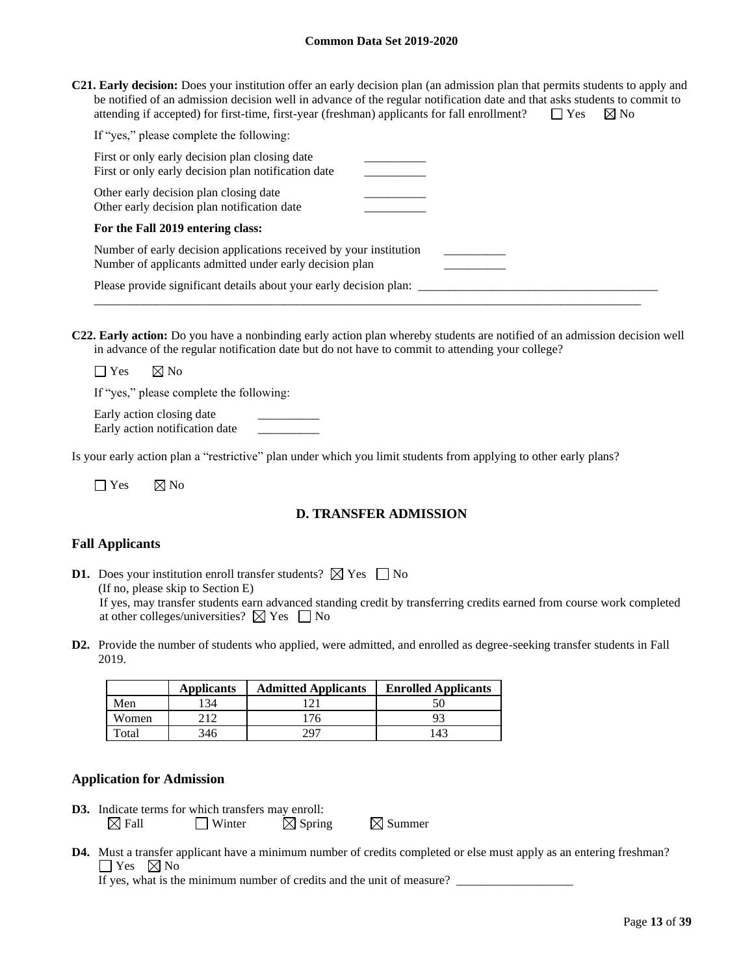**C21. Early decision:** Does your institution offer an early decision plan (an admission plan that permits students to apply and be notified of an admission decision well in advance of the regular notification date and that asks students to commit to attending if accepted) for first-time, first-year (freshman) applicants for fall enrollment?  $\square$  Yes  $\boxtimes$  No

| If "yes," please complete the following:                                                                                      |  |
|-------------------------------------------------------------------------------------------------------------------------------|--|
| First or only early decision plan closing date<br>First or only early decision plan notification date                         |  |
| Other early decision plan closing date<br>Other early decision plan notification date                                         |  |
| For the Fall 2019 entering class:                                                                                             |  |
| Number of early decision applications received by your institution<br>Number of applicants admitted under early decision plan |  |
| Please provide significant details about your early decision plan:                                                            |  |

**C22. Early action:** Do you have a nonbinding early action plan whereby students are notified of an admission decision well in advance of the regular notification date but do not have to commit to attending your college?

 $\Box$  Yes  $\boxtimes$  No

If "yes," please complete the following:

Early action closing date Early action notification date \_\_\_\_\_\_\_\_\_\_

Is your early action plan a "restrictive" plan under which you limit students from applying to other early plans?

 $\Box$  Yes  $\Box$  No

## **D. TRANSFER ADMISSION**

#### **Fall Applicants**

- **D1.** Does your institution enroll transfer students?  $\boxtimes$  Yes  $\Box$  No (If no, please skip to Section E) If yes, may transfer students earn advanced standing credit by transferring credits earned from course work completed at other colleges/universities?  $\boxtimes$  Yes  $\Box$  No
- **D2.** Provide the number of students who applied, were admitted, and enrolled as degree-seeking transfer students in Fall 2019.

|       | <b>Applicants</b> | <b>Admitted Applicants</b> | <b>Enrolled Applicants</b> |
|-------|-------------------|----------------------------|----------------------------|
| Men   | -34               |                            | 50                         |
| Women | າ 1 າ             | 76.                        | ۵                          |
| Total | 346               | 297                        | 43                         |

#### **Application for Admission**

**D3.** Indicate terms for which transfers may enroll:  $\boxtimes$  Fall  $\Box$  Winter  $\boxtimes$  Spring  $\boxtimes$  Summer

**D4.** Must a transfer applicant have a minimum number of credits completed or else must apply as an entering freshman?  $\Box$  Yes  $\Box$  No

If yes, what is the minimum number of credits and the unit of measure?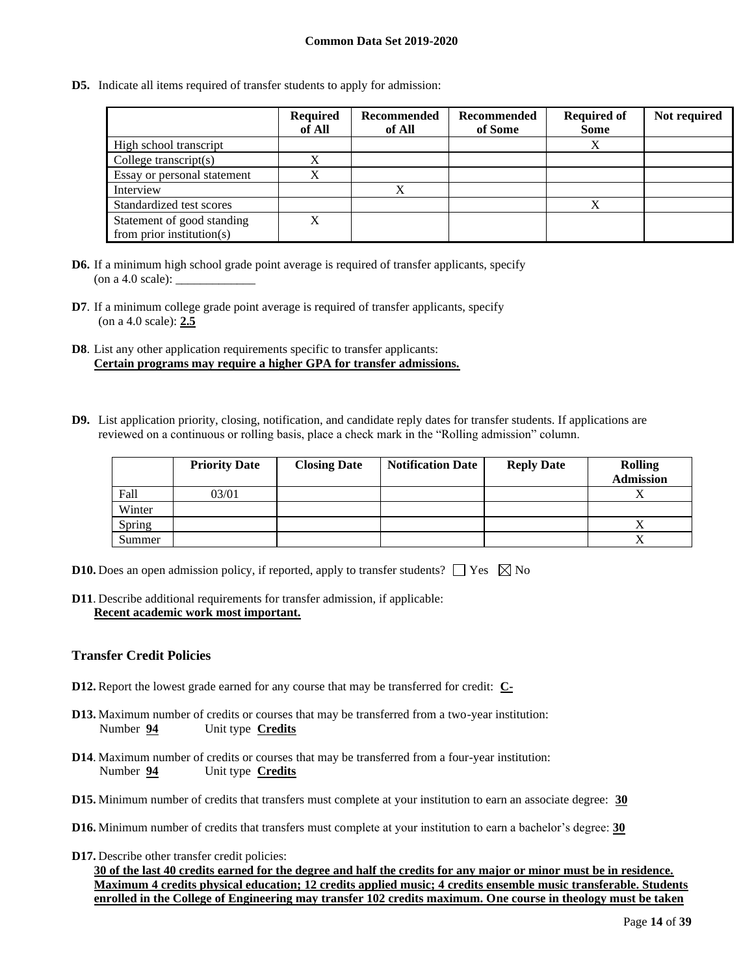**D5.** Indicate all items required of transfer students to apply for admission:

|                                                         | <b>Required</b><br>of All | Recommended<br>of All | Recommended<br>of Some | <b>Required of</b><br><b>Some</b> | Not required |
|---------------------------------------------------------|---------------------------|-----------------------|------------------------|-----------------------------------|--------------|
| High school transcript                                  |                           |                       |                        | Х                                 |              |
| College transcript $(s)$                                |                           |                       |                        |                                   |              |
| Essay or personal statement                             | $\Lambda$                 |                       |                        |                                   |              |
| Interview                                               |                           |                       |                        |                                   |              |
| Standardized test scores                                |                           |                       |                        | X                                 |              |
| Statement of good standing<br>from prior institution(s) | X                         |                       |                        |                                   |              |

- **D6.** If a minimum high school grade point average is required of transfer applicants, specify (on a 4.0 scale): \_\_\_\_\_\_\_\_\_\_\_\_\_
- **D7**. If a minimum college grade point average is required of transfer applicants, specify (on a 4.0 scale): **2.5**
- **D8**. List any other application requirements specific to transfer applicants: **Certain programs may require a higher GPA for transfer admissions.**
- **D9.** List application priority, closing, notification, and candidate reply dates for transfer students. If applications are reviewed on a continuous or rolling basis, place a check mark in the "Rolling admission" column.

|        | <b>Priority Date</b> | <b>Closing Date</b> | <b>Notification Date</b> | <b>Reply Date</b> | <b>Rolling</b><br><b>Admission</b> |
|--------|----------------------|---------------------|--------------------------|-------------------|------------------------------------|
| Fall   | 03/01                |                     |                          |                   |                                    |
| Winter |                      |                     |                          |                   |                                    |
| Spring |                      |                     |                          |                   |                                    |
| Summer |                      |                     |                          |                   |                                    |

- **D10.** Does an open admission policy, if reported, apply to transfer students?  $\Box$  Yes  $\boxtimes$  No
- **D11**. Describe additional requirements for transfer admission, if applicable: **Recent academic work most important.**

#### **Transfer Credit Policies**

- **D12.** Report the lowest grade earned for any course that may be transferred for credit: **C-**
- **D13.** Maximum number of credits or courses that may be transferred from a two-year institution: Number **94** Unit type **Credits**
- **D14**. Maximum number of credits or courses that may be transferred from a four-year institution: Number **94** Unit type **Credits**
- **D15.** Minimum number of credits that transfers must complete at your institution to earn an associate degree: **30**
- **D16.** Minimum number of credits that transfers must complete at your institution to earn a bachelor's degree: **30**
- **D17.** Describe other transfer credit policies:

**30 of the last 40 credits earned for the degree and half the credits for any major or minor must be in residence. Maximum 4 credits physical education; 12 credits applied music; 4 credits ensemble music transferable. Students enrolled in the College of Engineering may transfer 102 credits maximum. One course in theology must be taken**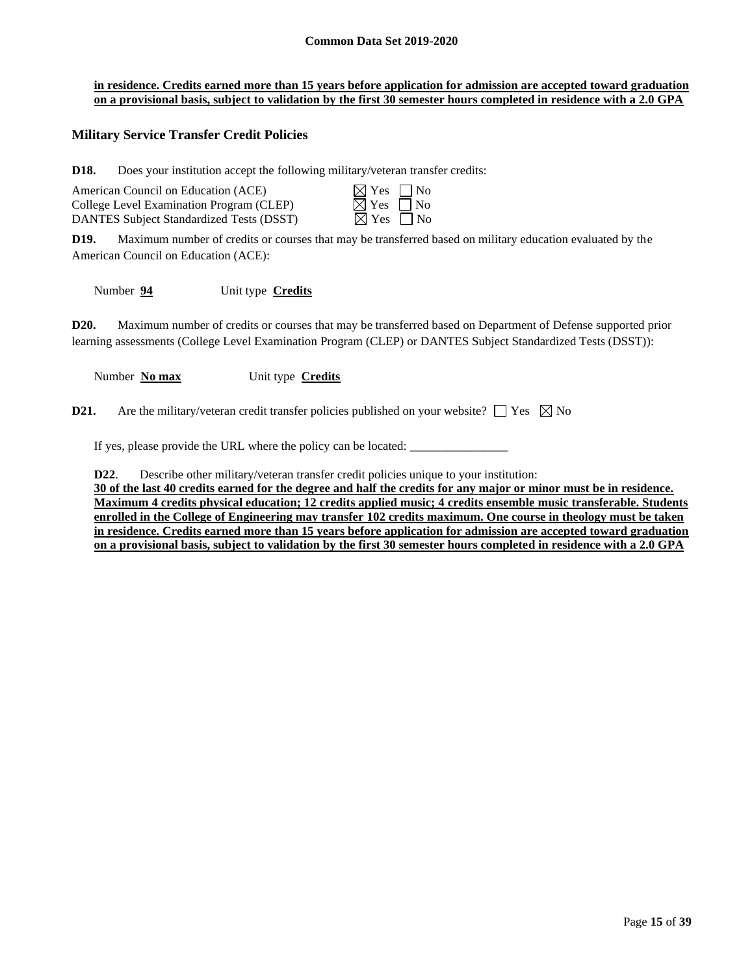#### **in residence. Credits earned more than 15 years before application for admission are accepted toward graduation on a provisional basis, subject to validation by the first 30 semester hours completed in residence with a 2.0 GPA**

## **Military Service Transfer Credit Policies**

**D18.** Does your institution accept the following military/veteran transfer credits:

| American Council on Education (ACE)      | $\boxtimes$ Yes $\Box$ No |  |
|------------------------------------------|---------------------------|--|
| College Level Examination Program (CLEP) | $\boxtimes$ Yes $\Box$ No |  |
| DANTES Subject Standardized Tests (DSST) | $\boxtimes$ Yes $\Box$ No |  |

| $\boxtimes$ Yes | $\Box$ No |
|-----------------|-----------|
| $\boxtimes$ Yes | $\Box$ No |
| ∣XI Yes         | ∣ INc     |

**D19.** Maximum number of credits or courses that may be transferred based on military education evaluated by the American Council on Education (ACE):

Number **94** Unit type **Credits**

**D20.** Maximum number of credits or courses that may be transferred based on Department of Defense supported prior learning assessments (College Level Examination Program (CLEP) or DANTES Subject Standardized Tests (DSST)):

Number **No max** Unit type **Credits**

**D21.** Are the military/veteran credit transfer policies published on your website?  $\Box$  Yes  $\boxtimes$  No

If yes, please provide the URL where the policy can be located:

**D22.** Describe other military/veteran transfer credit policies unique to your institution:

**30 of the last 40 credits earned for the degree and half the credits for any major or minor must be in residence. Maximum 4 credits physical education; 12 credits applied music; 4 credits ensemble music transferable. Students enrolled in the College of Engineering may transfer 102 credits maximum. One course in theology must be taken in residence. Credits earned more than 15 years before application for admission are accepted toward graduation on a provisional basis, subject to validation by the first 30 semester hours completed in residence with a 2.0 GPA**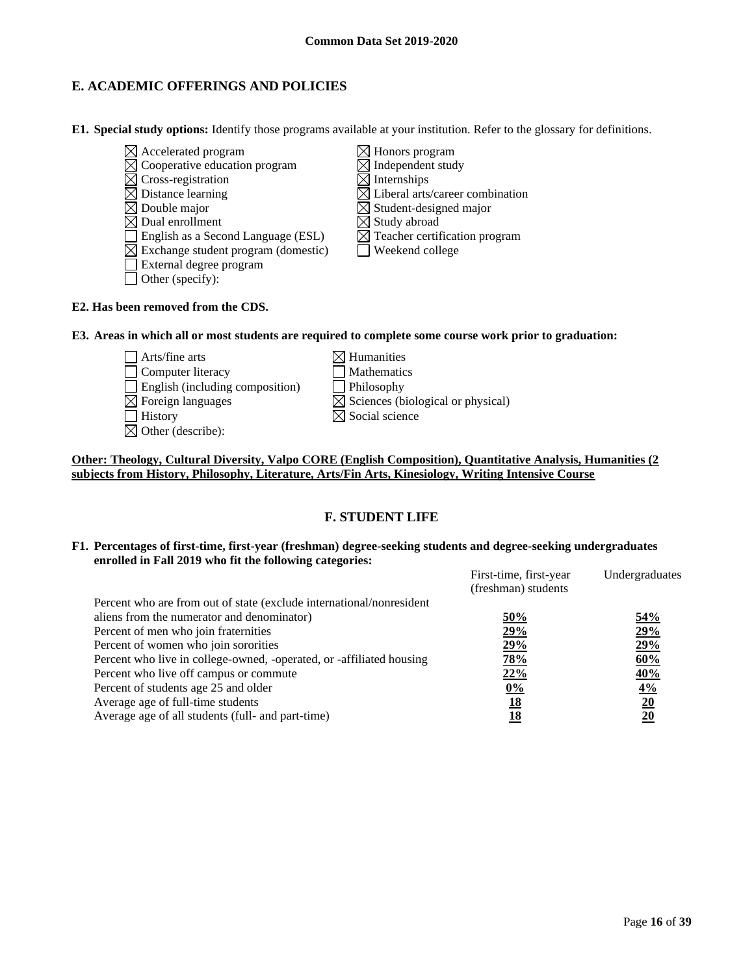# **E. ACADEMIC OFFERINGS AND POLICIES**

**E1. Special study options:** Identify those programs available at your institution. Refer to the glossary for definitions.

 $\boxtimes$  Accelerated program  $\boxtimes$  Honors program  $\boxtimes$  Cooperative education program  $\boxtimes$  Independent study  $\boxtimes$  Cross-registration  $\boxtimes$  Internships  $\boxtimes$  Distance learning  $\boxtimes$  Liberal arts/career combination  $\boxtimes$  Double major  $\boxtimes$  Student-designed major  $\boxtimes$  Dual enrollment  $\boxtimes$  Study abroad  $\Box$  English as a Second Language (ESL)  $\Box$  Teacher certification program  $\boxtimes$  Exchange student program (domestic)  $\Box$  Weekend college External degree program  $\Box$  Other (specify):

#### **E2. Has been removed from the CDS.**

#### **E3. Areas in which all or most students are required to complete some course work prior to graduation:**

 $\Box$  Arts/fine arts  $\boxtimes$  Humanities □ Computer literacy △ □ Mathematics English (including composition) Philosophy  $\boxtimes$  Foreign languages  $\boxtimes$  Sciences (biological or physical)  $\Box$  History  $\boxtimes$  Social science  $\boxtimes$  Other (describe):

## **Other: Theology, Cultural Diversity, Valpo CORE (English Composition), Quantitative Analysis, Humanities (2 subjects from History, Philosophy, Literature, Arts/Fin Arts, Kinesiology, Writing Intensive Course**

## **F. STUDENT LIFE**

**F1. Percentages of first-time, first-year (freshman) degree-seeking students and degree-seeking undergraduates enrolled in Fall 2019 who fit the following categories:**

|                                                                      | First-time, first-year<br>(freshman) students | Undergraduates   |
|----------------------------------------------------------------------|-----------------------------------------------|------------------|
| Percent who are from out of state (exclude international/nonresident |                                               |                  |
| aliens from the numerator and denominator)                           | 50%                                           | 54%              |
| Percent of men who join fraternities                                 | 29%                                           | 29%              |
| Percent of women who join sororities                                 | 29%                                           | 29%              |
| Percent who live in college-owned, -operated, or -affiliated housing | 78%                                           | 60%              |
| Percent who live off campus or commute                               | 22%                                           | 40%              |
| Percent of students age 25 and older                                 | $0\%$                                         | 4%               |
| Average age of full-time students                                    | 18                                            | $\underline{20}$ |
| Average age of all students (full- and part-time)                    | 18                                            | 20               |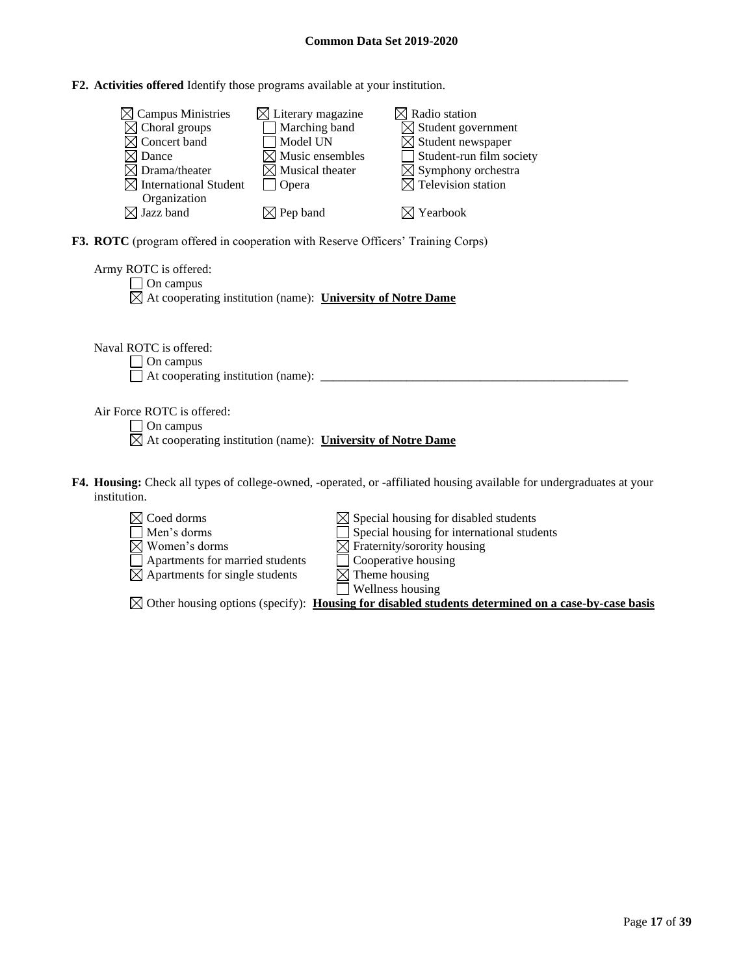**F2. Activities offered** Identify those programs available at your institution.

| $\boxtimes$ Campus Ministries     | $\boxtimes$ Literary magazine | $\boxtimes$ Radio station      |
|-----------------------------------|-------------------------------|--------------------------------|
| $\boxtimes$ Choral groups         | Marching band                 | $\boxtimes$ Student government |
| $\boxtimes$ Concert band          | Model UN                      | $\boxtimes$ Student newspaper  |
| $\times$ l Dance                  | $\boxtimes$ Music ensembles   | Student-run film society       |
| $\boxtimes$ Drama/theater         | $\boxtimes$ Musical theater   | $\boxtimes$ Symphony orchestra |
| $\boxtimes$ International Student | <b>Opera</b>                  | $\boxtimes$ Television station |
| Organization                      |                               |                                |
| $\boxtimes$ Jazz band             | $\boxtimes$ Pep band          | $\boxtimes$ Yearbook           |

**F3. ROTC** (program offered in cooperation with Reserve Officers' Training Corps)

| Army ROTC is offered:                                                   |  |
|-------------------------------------------------------------------------|--|
| $\Box$ On campus                                                        |  |
| $\boxtimes$ At cooperating institution (name): University of Notre Dame |  |

Naval ROTC is offered: On campus At cooperating institution (name): \_\_\_\_\_\_\_\_\_\_\_\_\_\_\_\_\_\_\_\_\_\_\_\_\_\_\_\_\_\_\_\_\_\_\_\_\_\_\_\_\_\_\_\_\_\_\_\_\_\_

Air Force ROTC is offered:

□ On campus

At cooperating institution (name): **University of Notre Dame**

- **F4. Housing:** Check all types of college-owned, -operated, or -affiliated housing available for undergraduates at your institution.
	- Coed dorms  $\boxtimes$  Special housing for disabled students Men's dorms  $\Box$  Special housing for international students Women's dorms<br>
	Momen's dorms<br>  $\Box$  Fraternity/sorority housing<br>  $\Box$  Apartments for married students<br>  $\Box$  Cooperative housing  $\Box$  Apartments for married students  $\Box$  Cooperative hou $\boxtimes$  Apartments for single students  $\boxtimes$  Theme housing

 $\boxtimes$  Apartments for single students

 $\Box$  Wellness housing

Other housing options (specify): **Housing for disabled students determined on a case-by-case basis**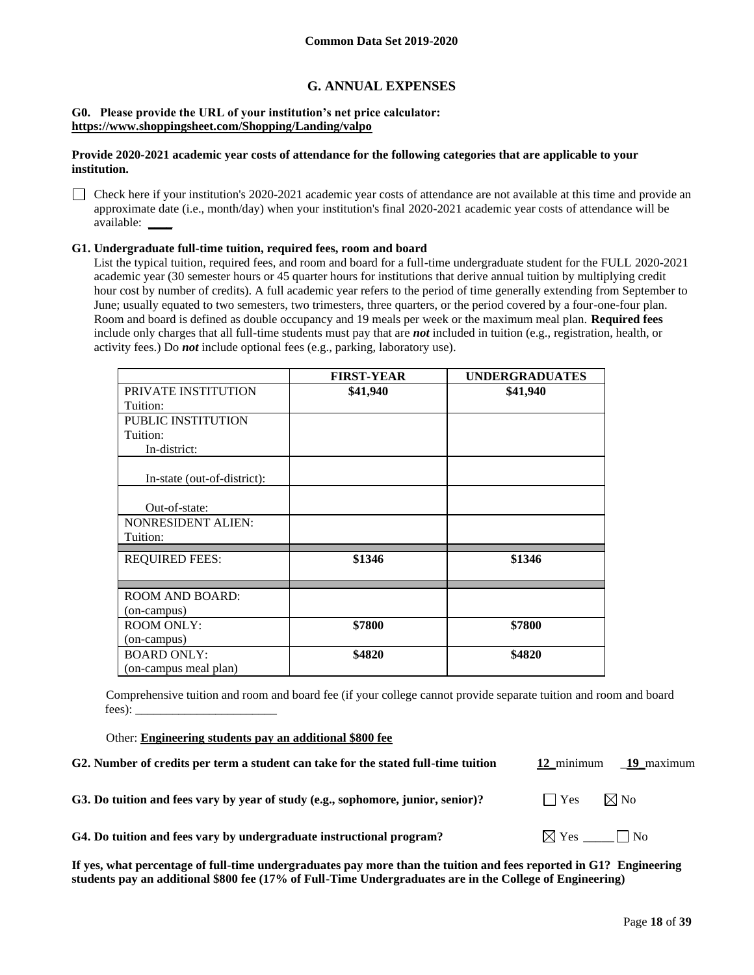## **G. ANNUAL EXPENSES**

#### **G0. Please provide the URL of your institution's net price calculator: <https://www.shoppingsheet.com/Shopping/Landing/valpo>**

#### **Provide 2020-2021 academic year costs of attendance for the following categories that are applicable to your institution.**

Check here if your institution's 2020-2021 academic year costs of attendance are not available at this time and provide an approximate date (i.e., month/day) when your institution's final 2020-2021 academic year costs of attendance will be available: **\_\_\_\_**

#### **G1. Undergraduate full-time tuition, required fees, room and board**

List the typical tuition, required fees, and room and board for a full-time undergraduate student for the FULL 2020-2021 academic year (30 semester hours or 45 quarter hours for institutions that derive annual tuition by multiplying credit hour cost by number of credits). A full academic year refers to the period of time generally extending from September to June; usually equated to two semesters, two trimesters, three quarters, or the period covered by a four-one-four plan. Room and board is defined as double occupancy and 19 meals per week or the maximum meal plan. **Required fees** include only charges that all full-time students must pay that are *not* included in tuition (e.g., registration, health, or activity fees.) Do *not* include optional fees (e.g., parking, laboratory use).

|                                   | <b>FIRST-YEAR</b> | <b>UNDERGRADUATES</b> |
|-----------------------------------|-------------------|-----------------------|
| PRIVATE INSTITUTION               | \$41,940          | \$41,940              |
| Tuition:                          |                   |                       |
| <b>PUBLIC INSTITUTION</b>         |                   |                       |
| Tuition:                          |                   |                       |
| In-district:                      |                   |                       |
| In-state (out-of-district):       |                   |                       |
|                                   |                   |                       |
| Out-of-state:                     |                   |                       |
| <b>NONRESIDENT ALIEN:</b>         |                   |                       |
| Tuition:                          |                   |                       |
| <b>REQUIRED FEES:</b>             | \$1346            | \$1346                |
|                                   |                   |                       |
| <b>ROOM AND BOARD:</b>            |                   |                       |
| (on-campus)<br><b>ROOM ONLY:</b>  | \$7800            | \$7800                |
|                                   |                   |                       |
| (on-campus)<br><b>BOARD ONLY:</b> |                   |                       |
|                                   | \$4820            | \$4820                |
| (on-campus meal plan)             |                   |                       |

Comprehensive tuition and room and board fee (if your college cannot provide separate tuition and room and board  $fees)$ :

Other: **Engineering students pay an additional \$800 fee**

| G2. Number of credits per term a student can take for the stated full-time tuition | 12 minimum<br>19 maximum                            |
|------------------------------------------------------------------------------------|-----------------------------------------------------|
| G3. Do tuition and fees vary by year of study (e.g., sophomore, junior, senior)?   | $\boxtimes$ No<br>$\blacksquare$ $\blacksquare$ Yes |
| G4. Do tuition and fees vary by undergraduate instructional program?               | $\boxtimes$ Yes $\_\_\_\_\_\_\_\_\_\_\$ No          |

**If yes, what percentage of full-time undergraduates pay more than the tuition and fees reported in G1? Engineering students pay an additional \$800 fee (17% of Full-Time Undergraduates are in the College of Engineering)**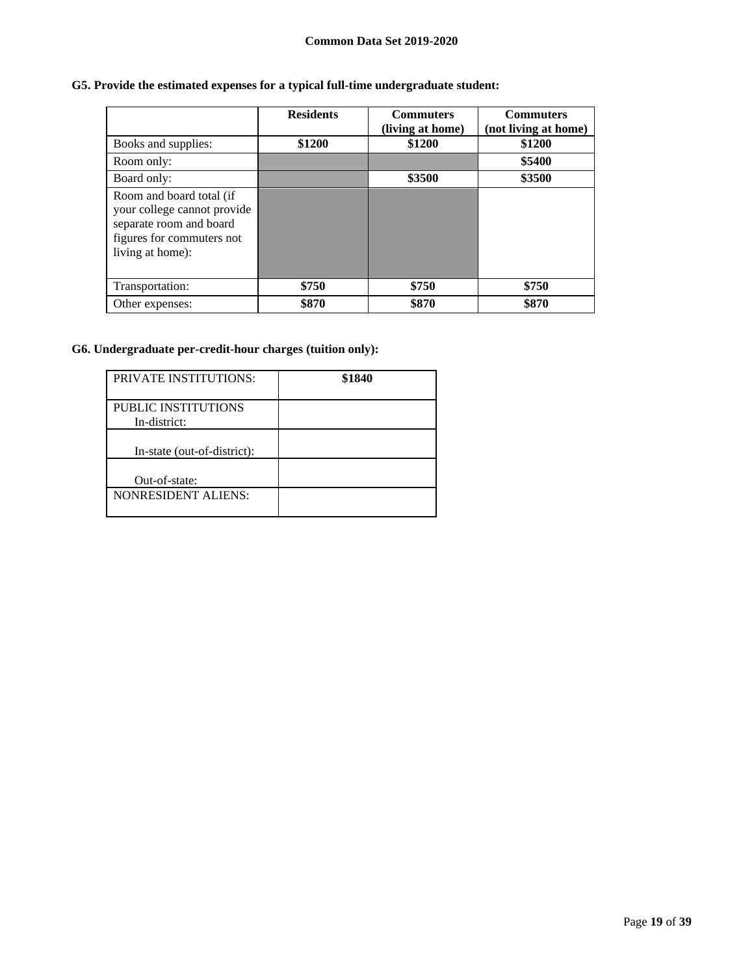# **G5. Provide the estimated expenses for a typical full-time undergraduate student:**

|                                                                                                                                     | <b>Residents</b> | <b>Commuters</b><br>(living at home) | <b>Commuters</b><br>(not living at home) |
|-------------------------------------------------------------------------------------------------------------------------------------|------------------|--------------------------------------|------------------------------------------|
| Books and supplies:                                                                                                                 | \$1200           | \$1200                               | \$1200                                   |
| Room only:                                                                                                                          |                  |                                      | \$5400                                   |
| Board only:                                                                                                                         |                  | \$3500                               | \$3500                                   |
| Room and board total (if<br>your college cannot provide<br>separate room and board<br>figures for commuters not<br>living at home): |                  |                                      |                                          |
| Transportation:                                                                                                                     | \$750            | \$750                                | \$750                                    |
| Other expenses:                                                                                                                     | \$870            | \$870                                | \$870                                    |

## **G6. Undergraduate per-credit-hour charges (tuition only):**

| <b>PRIVATE INSTITUTIONS:</b>               | \$1840 |
|--------------------------------------------|--------|
| <b>PUBLIC INSTITUTIONS</b><br>In-district: |        |
| In-state (out-of-district):                |        |
| Out-of-state:                              |        |
| <b>NONRESIDENT ALIENS:</b>                 |        |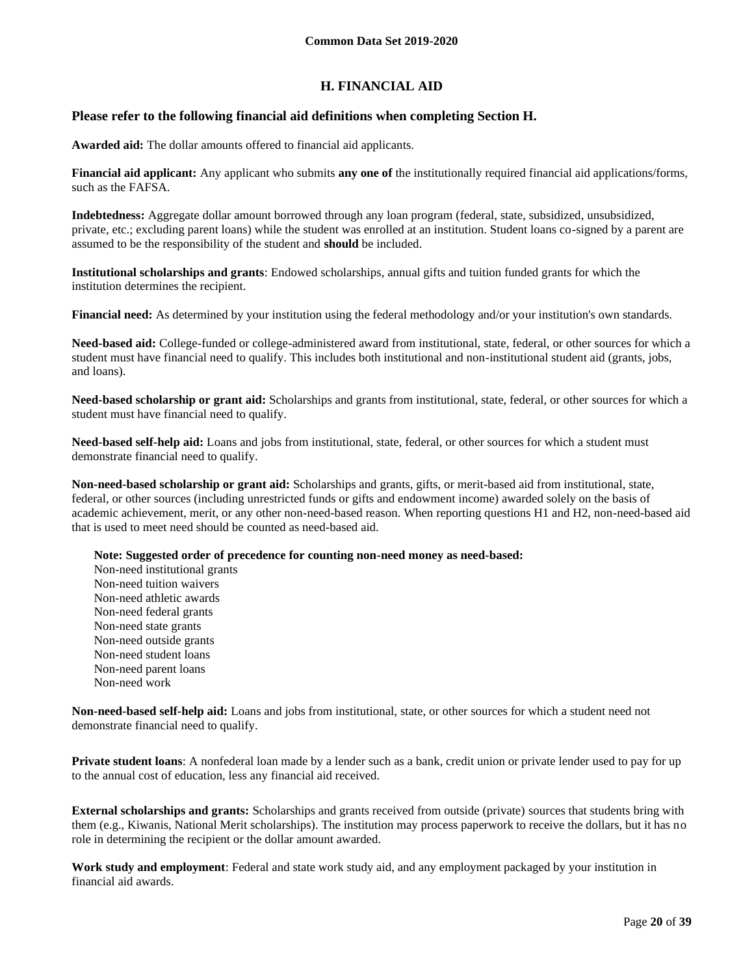## **H. FINANCIAL AID**

## **Please refer to the following financial aid definitions when completing Section H.**

**Awarded aid:** The dollar amounts offered to financial aid applicants.

**Financial aid applicant:** Any applicant who submits **any one of** the institutionally required financial aid applications/forms, such as the FAFSA.

**Indebtedness:** Aggregate dollar amount borrowed through any loan program (federal, state, subsidized, unsubsidized, private, etc.; excluding parent loans) while the student was enrolled at an institution. Student loans co-signed by a parent are assumed to be the responsibility of the student and **should** be included.

**Institutional scholarships and grants**: Endowed scholarships, annual gifts and tuition funded grants for which the institution determines the recipient.

**Financial need:** As determined by your institution using the federal methodology and/or your institution's own standards.

**Need-based aid:** College-funded or college-administered award from institutional, state, federal, or other sources for which a student must have financial need to qualify. This includes both institutional and non-institutional student aid (grants, jobs, and loans).

**Need-based scholarship or grant aid:** Scholarships and grants from institutional, state, federal, or other sources for which a student must have financial need to qualify.

**Need-based self-help aid:** Loans and jobs from institutional, state, federal, or other sources for which a student must demonstrate financial need to qualify.

**Non-need-based scholarship or grant aid:** Scholarships and grants, gifts, or merit-based aid from institutional, state, federal, or other sources (including unrestricted funds or gifts and endowment income) awarded solely on the basis of academic achievement, merit, or any other non-need-based reason. When reporting questions H1 and H2, non-need-based aid that is used to meet need should be counted as need-based aid.

**Note: Suggested order of precedence for counting non-need money as need-based:**

Non-need institutional grants Non-need tuition waivers Non-need athletic awards Non-need federal grants Non-need state grants Non-need outside grants Non-need student loans Non-need parent loans Non-need work

**Non-need-based self-help aid:** Loans and jobs from institutional, state, or other sources for which a student need not demonstrate financial need to qualify.

**Private student loans**: A nonfederal loan made by a lender such as a bank, credit union or private lender used to pay for up to the annual cost of education, less any financial aid received.

**External scholarships and grants:** Scholarships and grants received from outside (private) sources that students bring with them (e.g., Kiwanis, National Merit scholarships). The institution may process paperwork to receive the dollars, but it has no role in determining the recipient or the dollar amount awarded.

**Work study and employment**: Federal and state work study aid, and any employment packaged by your institution in financial aid awards.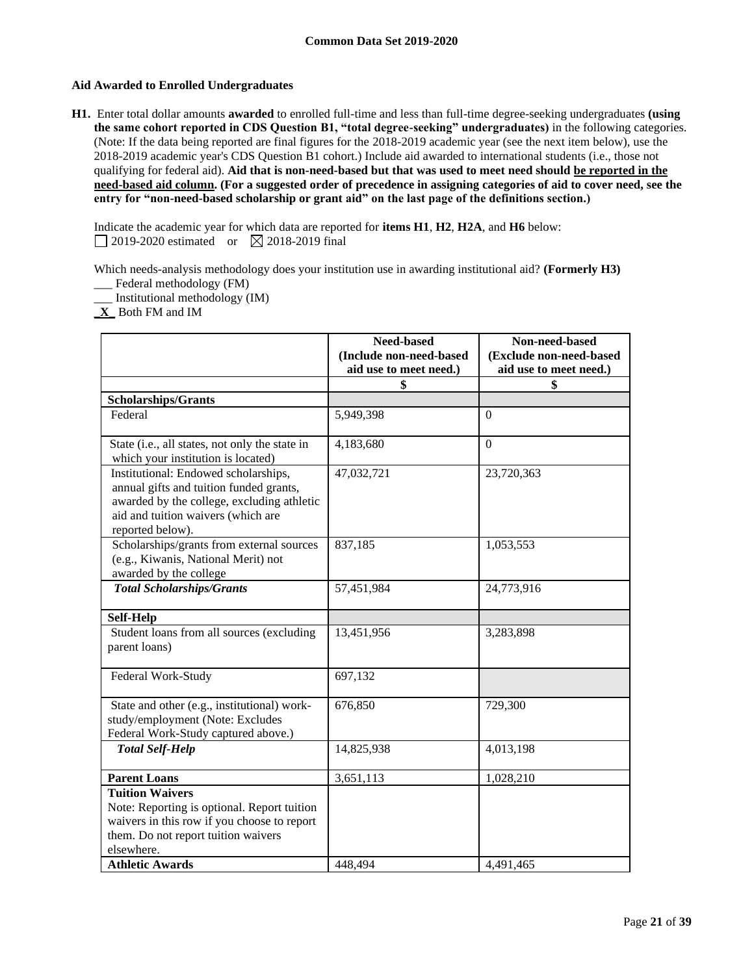## **Aid Awarded to Enrolled Undergraduates**

**H1.** Enter total dollar amounts **awarded** to enrolled full-time and less than full-time degree-seeking undergraduates **(using the same cohort reported in CDS Question B1, "total degree-seeking" undergraduates)** in the following categories. (Note: If the data being reported are final figures for the 2018-2019 academic year (see the next item below), use the 2018-2019 academic year's CDS Question B1 cohort.) Include aid awarded to international students (i.e., those not qualifying for federal aid). **Aid that is non-need-based but that was used to meet need should be reported in the need-based aid column. (For a suggested order of precedence in assigning categories of aid to cover need, see the entry for "non-need-based scholarship or grant aid" on the last page of the definitions section.)**

Indicate the academic year for which data are reported for **items H1**, **H2**, **H2A**, and **H6** below: 2019-2020 estimated or  $\boxtimes$  2018-2019 final

Which needs-analysis methodology does your institution use in awarding institutional aid? **(Formerly H3)**

\_\_\_ Federal methodology (FM) \_\_\_ Institutional methodology (IM)

**X** Both FM and IM

|                                                                                                                                                                                         | <b>Need-based</b>                                 | Non-need-based                                    |
|-----------------------------------------------------------------------------------------------------------------------------------------------------------------------------------------|---------------------------------------------------|---------------------------------------------------|
|                                                                                                                                                                                         | (Include non-need-based<br>aid use to meet need.) | (Exclude non-need-based<br>aid use to meet need.) |
|                                                                                                                                                                                         | \$                                                | S                                                 |
| <b>Scholarships/Grants</b>                                                                                                                                                              |                                                   |                                                   |
| Federal                                                                                                                                                                                 | 5,949,398                                         | $\Omega$                                          |
| State (i.e., all states, not only the state in<br>which your institution is located)                                                                                                    | 4,183,680                                         | $\overline{0}$                                    |
| Institutional: Endowed scholarships,<br>annual gifts and tuition funded grants,<br>awarded by the college, excluding athletic<br>aid and tuition waivers (which are<br>reported below). | 47,032,721                                        | 23,720,363                                        |
| Scholarships/grants from external sources<br>(e.g., Kiwanis, National Merit) not<br>awarded by the college                                                                              | 837,185                                           | 1,053,553                                         |
| <b>Total Scholarships/Grants</b>                                                                                                                                                        | 57,451,984                                        | 24,773,916                                        |
| Self-Help                                                                                                                                                                               |                                                   |                                                   |
| Student loans from all sources (excluding<br>parent loans)                                                                                                                              | 13,451,956                                        | 3,283,898                                         |
| Federal Work-Study                                                                                                                                                                      | 697,132                                           |                                                   |
| State and other (e.g., institutional) work-<br>study/employment (Note: Excludes<br>Federal Work-Study captured above.)                                                                  | 676,850                                           | 729,300                                           |
| <b>Total Self-Help</b>                                                                                                                                                                  | 14,825,938                                        | 4,013,198                                         |
| <b>Parent Loans</b>                                                                                                                                                                     | 3,651,113                                         | 1,028,210                                         |
| <b>Tuition Waivers</b><br>Note: Reporting is optional. Report tuition<br>waivers in this row if you choose to report<br>them. Do not report tuition waivers<br>elsewhere.               |                                                   |                                                   |
| <b>Athletic Awards</b>                                                                                                                                                                  | 448.494                                           | 4.491.465                                         |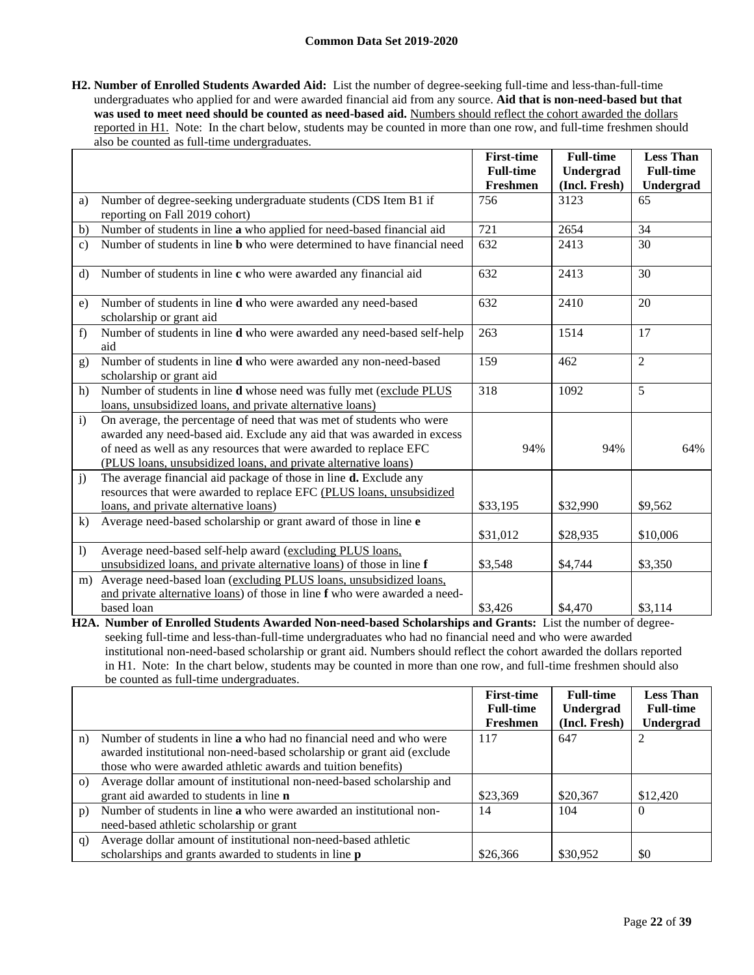**H2. Number of Enrolled Students Awarded Aid:** List the number of degree-seeking full-time and less-than-full-time undergraduates who applied for and were awarded financial aid from any source. **Aid that is non-need-based but that was used to meet need should be counted as need-based aid.** Numbers should reflect the cohort awarded the dollars reported in H1. Note: In the chart below, students may be counted in more than one row, and full-time freshmen should also be counted as full-time undergraduates.

|                  |                                                                                                                                                                                                                                                                                        | <b>First-time</b> | <b>Full-time</b> | <b>Less Than</b> |
|------------------|----------------------------------------------------------------------------------------------------------------------------------------------------------------------------------------------------------------------------------------------------------------------------------------|-------------------|------------------|------------------|
|                  |                                                                                                                                                                                                                                                                                        | <b>Full-time</b>  | Undergrad        | <b>Full-time</b> |
|                  |                                                                                                                                                                                                                                                                                        | Freshmen          | (Incl. Fresh)    | Undergrad        |
| a)               | Number of degree-seeking undergraduate students (CDS Item B1 if<br>reporting on Fall 2019 cohort)                                                                                                                                                                                      | 756               | 3123             | 65               |
| b)               | Number of students in line a who applied for need-based financial aid                                                                                                                                                                                                                  | 721               | 2654             | 34               |
| $\mathbf{c}$ )   | Number of students in line <b>b</b> who were determined to have financial need                                                                                                                                                                                                         | 632               | 2413             | 30               |
| d)               | Number of students in line c who were awarded any financial aid                                                                                                                                                                                                                        | 632               | 2413             | 30               |
| e)               | Number of students in line d who were awarded any need-based<br>scholarship or grant aid                                                                                                                                                                                               | 632               | 2410             | 20               |
| f)               | Number of students in line d who were awarded any need-based self-help<br>aid                                                                                                                                                                                                          | 263               | 1514             | 17               |
| g)               | Number of students in line d who were awarded any non-need-based<br>scholarship or grant aid                                                                                                                                                                                           | 159               | 462              | $\overline{2}$   |
| h)               | Number of students in line d whose need was fully met (exclude PLUS<br>loans, unsubsidized loans, and private alternative loans)                                                                                                                                                       | 318               | 1092             | 5                |
| $\mathbf{i}$     | On average, the percentage of need that was met of students who were<br>awarded any need-based aid. Exclude any aid that was awarded in excess<br>of need as well as any resources that were awarded to replace EFC<br>(PLUS loans, unsubsidized loans, and private alternative loans) | 94%               | 94%              | 64%              |
| $\mathbf{j}$     | The average financial aid package of those in line <b>d.</b> Exclude any<br>resources that were awarded to replace EFC (PLUS loans, unsubsidized<br>loans, and private alternative loans)                                                                                              | \$33,195          | \$32,990         | \$9,562          |
| $\bf k$          | Average need-based scholarship or grant award of those in line e                                                                                                                                                                                                                       | \$31,012          | \$28,935         | \$10,006         |
| $\left  \right $ | Average need-based self-help award (excluding PLUS loans,<br>unsubsidized loans, and private alternative loans) of those in line f                                                                                                                                                     | \$3,548           | \$4,744          | \$3,350          |
| m)               | Average need-based loan (excluding PLUS loans, unsubsidized loans,<br>and private alternative loans) of those in line f who were awarded a need-                                                                                                                                       |                   |                  |                  |
|                  | based loan                                                                                                                                                                                                                                                                             | \$3,426           | \$4,470          | \$3,114          |

**H2A. Number of Enrolled Students Awarded Non-need-based Scholarships and Grants:** List the number of degreeseeking full-time and less-than-full-time undergraduates who had no financial need and who were awarded institutional non-need-based scholarship or grant aid. Numbers should reflect the cohort awarded the dollars reported in H1. Note: In the chart below, students may be counted in more than one row, and full-time freshmen should also be counted as full-time undergraduates.

|          |                                                                            | <b>First-time</b> | <b>Full-time</b> | <b>Less Than</b> |
|----------|----------------------------------------------------------------------------|-------------------|------------------|------------------|
|          |                                                                            | <b>Full-time</b>  | Undergrad        | <b>Full-time</b> |
|          |                                                                            | Freshmen          | (Incl. Fresh)    | Undergrad        |
| n)       | Number of students in line <b>a</b> who had no financial need and who were | 117               | 647              | $\overline{c}$   |
|          | awarded institutional non-need-based scholarship or grant aid (exclude     |                   |                  |                  |
|          | those who were awarded athletic awards and tuition benefits)               |                   |                  |                  |
| $\Omega$ | Average dollar amount of institutional non-need-based scholarship and      |                   |                  |                  |
|          | grant aid awarded to students in line <b>n</b>                             | \$23,369          | \$20,367         | \$12,420         |
| p)       | Number of students in line a who were awarded an institutional non-        | 14                | 104              | $\Omega$         |
|          | need-based athletic scholarship or grant                                   |                   |                  |                  |
| q)       | Average dollar amount of institutional non-need-based athletic             |                   |                  |                  |
|          | scholarships and grants awarded to students in line p                      | \$26,366          | \$30,952         | \$0              |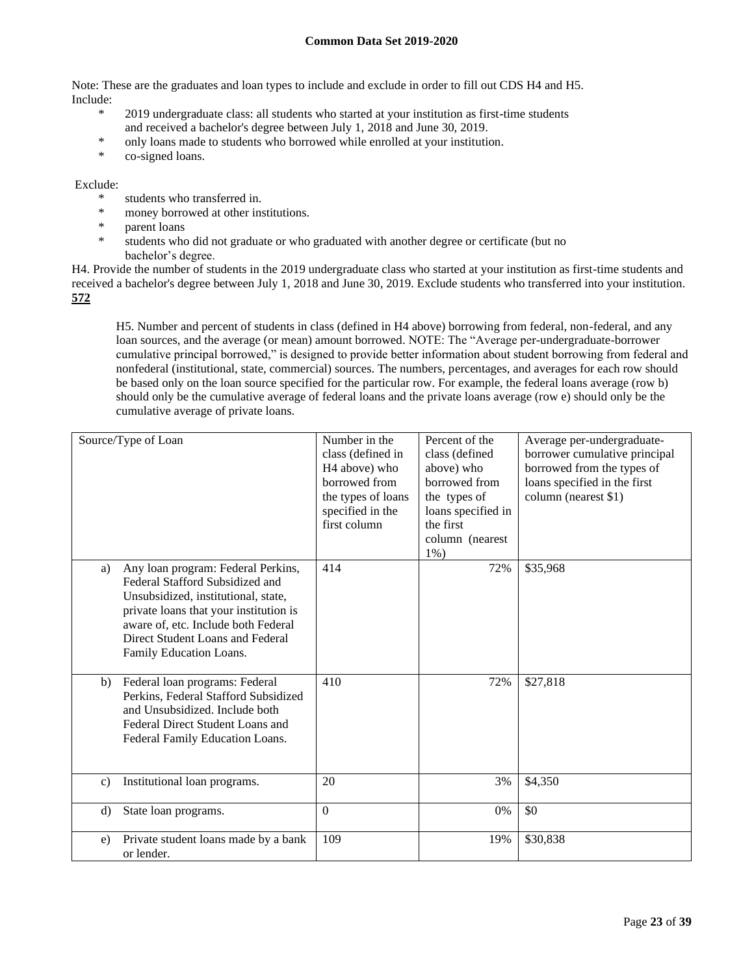Note: These are the graduates and loan types to include and exclude in order to fill out CDS H4 and H5. Include:

- \* 2019 undergraduate class: all students who started at your institution as first-time students and received a bachelor's degree between July 1, 2018 and June 30, 2019.
- \* only loans made to students who borrowed while enrolled at your institution.
- \* co-signed loans.

#### Exclude:

- \* students who transferred in.<br>\* monoy berround at other in
- \* money borrowed at other institutions.
- parent loans
- \* students who did not graduate or who graduated with another degree or certificate (but no bachelor's degree.

H4. Provide the number of students in the 2019 undergraduate class who started at your institution as first-time students and received a bachelor's degree between July 1, 2018 and June 30, 2019. Exclude students who transferred into your institution. **572**

H5. Number and percent of students in class (defined in H4 above) borrowing from federal, non-federal, and any loan sources, and the average (or mean) amount borrowed. NOTE: The "Average per-undergraduate-borrower cumulative principal borrowed," is designed to provide better information about student borrowing from federal and nonfederal (institutional, state, commercial) sources. The numbers, percentages, and averages for each row should be based only on the loan source specified for the particular row. For example, the federal loans average (row b) should only be the cumulative average of federal loans and the private loans average (row e) should only be the cumulative average of private loans.

| Source/Type of Loan |                                                                                                                                                                                                                                                              | Number in the<br>class (defined in<br>H <sub>4</sub> above) who<br>borrowed from<br>the types of loans<br>specified in the<br>first column | Percent of the<br>class (defined<br>above) who<br>borrowed from<br>the types of<br>loans specified in<br>the first<br>column (nearest<br>$1\%$ ) | Average per-undergraduate-<br>borrower cumulative principal<br>borrowed from the types of<br>loans specified in the first<br>column (nearest \$1) |
|---------------------|--------------------------------------------------------------------------------------------------------------------------------------------------------------------------------------------------------------------------------------------------------------|--------------------------------------------------------------------------------------------------------------------------------------------|--------------------------------------------------------------------------------------------------------------------------------------------------|---------------------------------------------------------------------------------------------------------------------------------------------------|
| a)                  | Any loan program: Federal Perkins,<br>Federal Stafford Subsidized and<br>Unsubsidized, institutional, state,<br>private loans that your institution is<br>aware of, etc. Include both Federal<br>Direct Student Loans and Federal<br>Family Education Loans. | 414                                                                                                                                        | 72%                                                                                                                                              | \$35,968                                                                                                                                          |
| b)                  | Federal loan programs: Federal<br>Perkins, Federal Stafford Subsidized<br>and Unsubsidized. Include both<br>Federal Direct Student Loans and<br>Federal Family Education Loans.                                                                              | 410                                                                                                                                        | 72%                                                                                                                                              | \$27,818                                                                                                                                          |
| $\mathbf{c}$ )      | Institutional loan programs.                                                                                                                                                                                                                                 | 20                                                                                                                                         | 3%                                                                                                                                               | \$4,350                                                                                                                                           |
| $\rm d$             | State loan programs.                                                                                                                                                                                                                                         | $\mathbf{0}$                                                                                                                               | 0%                                                                                                                                               | \$0                                                                                                                                               |
| e)                  | Private student loans made by a bank<br>or lender.                                                                                                                                                                                                           | 109                                                                                                                                        | 19%                                                                                                                                              | \$30,838                                                                                                                                          |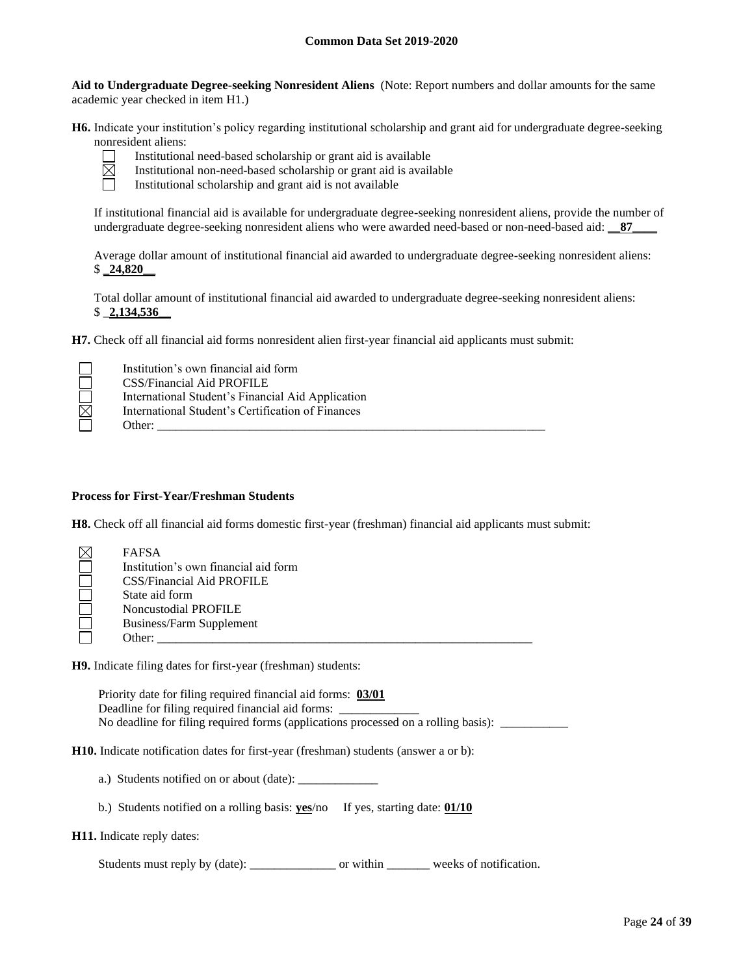**Aid to Undergraduate Degree-seeking Nonresident Aliens** (Note: Report numbers and dollar amounts for the same academic year checked in item H1.)

**H6.** Indicate your institution's policy regarding institutional scholarship and grant aid for undergraduate degree-seeking nonresident aliens:



Institutional need-based scholarship or grant aid is available

Institutional non-need-based scholarship or grant aid is available

Institutional scholarship and grant aid is not available

If institutional financial aid is available for undergraduate degree-seeking nonresident aliens, provide the number of undergraduate degree-seeking nonresident aliens who were awarded need-based or non-need-based aid: **\_\_87\_\_\_\_**

Average dollar amount of institutional financial aid awarded to undergraduate degree-seeking nonresident aliens: \$ **\_24,820\_\_**

Total dollar amount of institutional financial aid awarded to undergraduate degree-seeking nonresident aliens: \$ \_**2,134,536\_\_**

**H7.** Check off all financial aid forms nonresident alien first-year financial aid applicants must submit:

|   | Institution's own financial aid form              |
|---|---------------------------------------------------|
|   | CSS/Financial Aid PROFILE                         |
|   | International Student's Financial Aid Application |
| ⊠ | International Student's Certification of Finances |
|   | Other:                                            |

#### **Process for First-Year/Freshman Students**

**H8.** Check off all financial aid forms domestic first-year (freshman) financial aid applicants must submit:

| <b>FAFSA</b>                         |
|--------------------------------------|
| Institution's own financial aid form |
| CSS/Financial Aid PROFILE            |
| State aid form                       |
| <b>Noncustodial PROFILE</b>          |
| Business/Farm Supplement             |
| Other:                               |

**H9.** Indicate filing dates for first-year (freshman) students:

Priority date for filing required financial aid forms: **03/01** Deadline for filing required financial aid forms: \_ No deadline for filing required forms (applications processed on a rolling basis): \_\_\_\_\_\_\_\_\_\_\_\_\_\_\_\_\_\_\_\_\_\_\_\_\_\_\_

**H10.** Indicate notification dates for first-year (freshman) students (answer a or b):

a.) Students notified on or about (date): \_\_\_\_\_\_\_\_\_\_\_\_\_

b.) Students notified on a rolling basis: **yes**/no If yes, starting date: **01/10**

**H11.** Indicate reply dates:

Students must reply by (date): \_\_\_\_\_\_\_\_\_\_\_\_\_\_\_\_\_\_\_\_ or within \_\_\_\_\_\_\_\_\_\_ weeks of notification.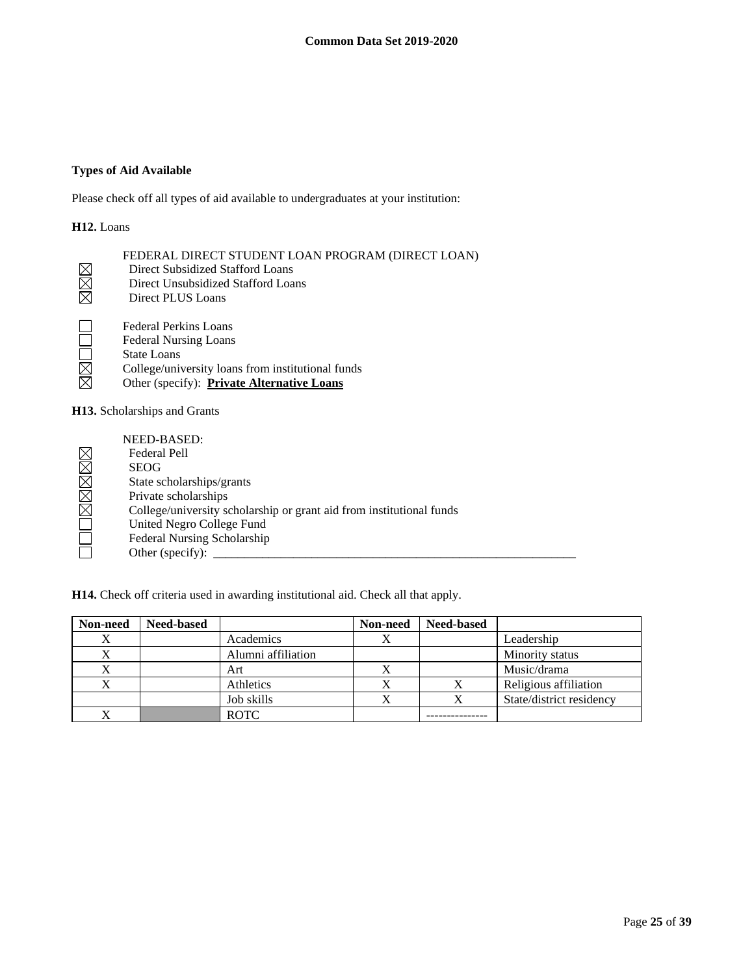## **Types of Aid Available**

Please check off all types of aid available to undergraduates at your institution:

## **H12.** Loans

|              | FEDERAL DIRECT STUDENT LOAN PROGRAM (DIRECT LOAN)                                                                                                                                                                                                                                                                                                                                                                                                                                          |
|--------------|--------------------------------------------------------------------------------------------------------------------------------------------------------------------------------------------------------------------------------------------------------------------------------------------------------------------------------------------------------------------------------------------------------------------------------------------------------------------------------------------|
|              | Direct Subsidized Stafford Loans                                                                                                                                                                                                                                                                                                                                                                                                                                                           |
| X            | Direct Unsubsidized Stafford Loans                                                                                                                                                                                                                                                                                                                                                                                                                                                         |
|              | Direct PLUS Loans                                                                                                                                                                                                                                                                                                                                                                                                                                                                          |
|              | Federal Perkins Loans                                                                                                                                                                                                                                                                                                                                                                                                                                                                      |
| $\mathsf{L}$ | <b>Federal Nursing Loans</b>                                                                                                                                                                                                                                                                                                                                                                                                                                                               |
| $\Box$       | <b>State Loans</b>                                                                                                                                                                                                                                                                                                                                                                                                                                                                         |
| $\boxtimes$  | College/university loans from institutional funds                                                                                                                                                                                                                                                                                                                                                                                                                                          |
|              | Other (specify): Private Alternative Loans                                                                                                                                                                                                                                                                                                                                                                                                                                                 |
|              | $\blacksquare$ $\blacksquare$ $\blacksquare$ $\blacksquare$ $\blacksquare$ $\blacksquare$ $\blacksquare$ $\blacksquare$ $\blacksquare$ $\blacksquare$ $\blacksquare$ $\blacksquare$ $\blacksquare$ $\blacksquare$ $\blacksquare$ $\blacksquare$ $\blacksquare$ $\blacksquare$ $\blacksquare$ $\blacksquare$ $\blacksquare$ $\blacksquare$ $\blacksquare$ $\blacksquare$ $\blacksquare$ $\blacksquare$ $\blacksquare$ $\blacksquare$ $\blacksquare$ $\blacksquare$ $\blacksquare$ $\blacks$ |

**H13.** Scholarships and Grants

|                        | NEED-BASED:                                                          |
|------------------------|----------------------------------------------------------------------|
| $\boxtimes$            | Federal Pell                                                         |
| $\boxtimes$            | <b>SEOG</b>                                                          |
| $\boxtimes$            | State scholarships/grants                                            |
| $\boxtimes$            | Private scholarships                                                 |
| $\overline{\boxtimes}$ | College/university scholarship or grant aid from institutional funds |
|                        | United Negro College Fund                                            |
|                        | Federal Nursing Scholarship                                          |
|                        | Other (specify):                                                     |

**H14.** Check off criteria used in awarding institutional aid. Check all that apply.

| Non-need | <b>Need-based</b> |                    | Non-need | <b>Need-based</b> |                          |
|----------|-------------------|--------------------|----------|-------------------|--------------------------|
| X        |                   | Academics          |          |                   | Leadership               |
| X        |                   | Alumni affiliation |          |                   | Minority status          |
| X        |                   | Art                |          |                   | Music/drama              |
|          |                   | Athletics          |          |                   | Religious affiliation    |
|          |                   | Job skills         |          |                   | State/district residency |
|          |                   | <b>ROTC</b>        |          |                   |                          |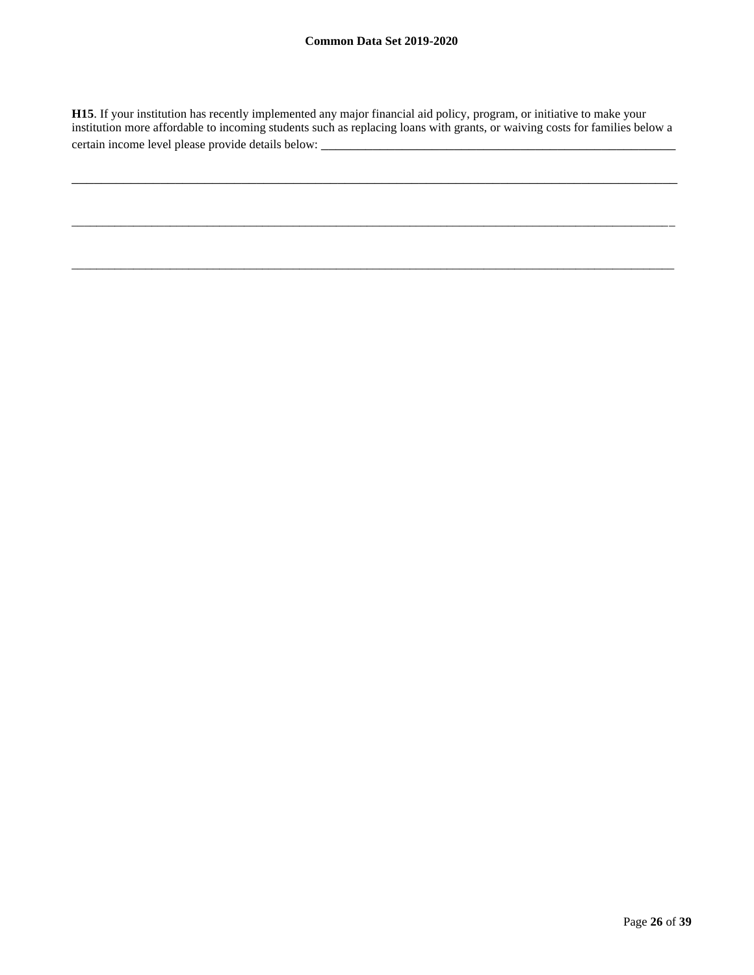**H15**. If your institution has recently implemented any major financial aid policy, program, or initiative to make your institution more affordable to incoming students such as replacing loans with grants, or waiving costs for families below a certain income level please provide details below:

\_\_\_\_\_\_\_\_\_\_\_\_\_\_\_\_\_\_\_\_\_\_\_\_\_\_\_\_\_\_\_\_\_\_\_\_\_\_\_\_\_\_\_\_\_\_\_\_\_\_\_\_\_\_\_\_\_\_\_\_\_\_\_\_\_\_\_\_\_\_\_\_\_\_\_\_\_\_\_\_\_\_

\_\_\_\_\_\_\_\_\_\_\_\_\_\_\_\_\_\_\_\_\_\_\_\_\_\_\_\_\_\_\_\_\_\_\_\_\_\_\_\_\_\_\_\_\_\_\_\_\_\_\_\_\_\_\_\_\_\_\_\_\_\_\_\_\_\_\_\_\_\_\_\_\_\_\_\_\_\_\_\_\_\_\_\_\_\_\_\_\_\_\_\_\_\_\_\_\_\_

 $\_$  ,  $\_$  ,  $\_$  ,  $\_$  ,  $\_$  ,  $\_$  ,  $\_$  ,  $\_$  ,  $\_$  ,  $\_$  ,  $\_$  ,  $\_$  ,  $\_$  ,  $\_$  ,  $\_$  ,  $\_$  ,  $\_$  ,  $\_$  ,  $\_$  ,  $\_$  ,  $\_$  ,  $\_$  ,  $\_$  ,  $\_$  ,  $\_$  ,  $\_$  ,  $\_$  ,  $\_$  ,  $\_$  ,  $\_$  ,  $\_$  ,  $\_$  ,  $\_$  ,  $\_$  ,  $\_$  ,  $\_$  ,  $\_$  ,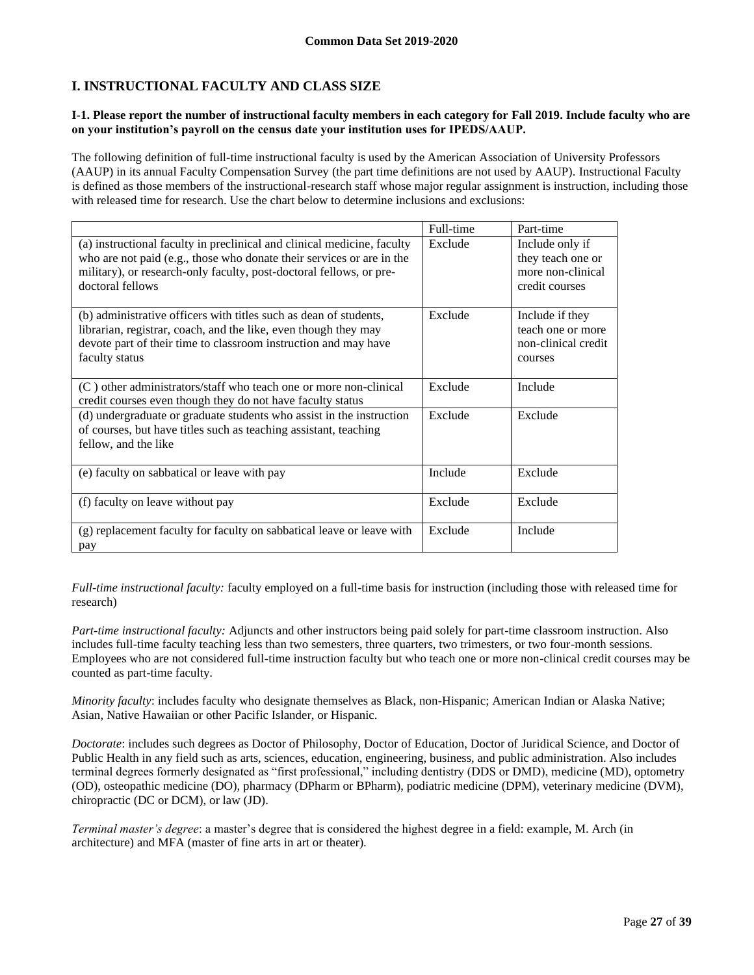# **I. INSTRUCTIONAL FACULTY AND CLASS SIZE**

#### **I-1. Please report the number of instructional faculty members in each category for Fall 2019. Include faculty who are on your institution's payroll on the census date your institution uses for IPEDS/AAUP.**

The following definition of full-time instructional faculty is used by the American Association of University Professors (AAUP) in its annual Faculty Compensation Survey (the part time definitions are not used by AAUP). Instructional Faculty is defined as those members of the instructional-research staff whose major regular assignment is instruction, including those with released time for research. Use the chart below to determine inclusions and exclusions:

|                                                                                                                                                                                                                                             | Full-time | Part-time                                                                   |
|---------------------------------------------------------------------------------------------------------------------------------------------------------------------------------------------------------------------------------------------|-----------|-----------------------------------------------------------------------------|
| (a) instructional faculty in preclinical and clinical medicine, faculty<br>who are not paid (e.g., those who donate their services or are in the<br>military), or research-only faculty, post-doctoral fellows, or pre-<br>doctoral fellows | Exclude   | Include only if<br>they teach one or<br>more non-clinical<br>credit courses |
| (b) administrative officers with titles such as dean of students,<br>librarian, registrar, coach, and the like, even though they may<br>devote part of their time to classroom instruction and may have<br>faculty status                   | Exclude   | Include if they<br>teach one or more<br>non-clinical credit<br>courses      |
| (C) other administrators/staff who teach one or more non-clinical<br>credit courses even though they do not have faculty status                                                                                                             | Exclude   | Include                                                                     |
| (d) undergraduate or graduate students who assist in the instruction<br>of courses, but have titles such as teaching assistant, teaching<br>fellow, and the like                                                                            | Exclude   | Exclude                                                                     |
| (e) faculty on sabbatical or leave with pay                                                                                                                                                                                                 | Include   | Exclude                                                                     |
| (f) faculty on leave without pay                                                                                                                                                                                                            | Exclude   | Exclude                                                                     |
| (g) replacement faculty for faculty on sabbatical leave or leave with<br>pay                                                                                                                                                                | Exclude   | Include                                                                     |

*Full-time instructional faculty:* faculty employed on a full-time basis for instruction (including those with released time for research)

*Part-time instructional faculty:* Adjuncts and other instructors being paid solely for part-time classroom instruction. Also includes full-time faculty teaching less than two semesters, three quarters, two trimesters, or two four-month sessions. Employees who are not considered full-time instruction faculty but who teach one or more non-clinical credit courses may be counted as part-time faculty.

*Minority faculty*: includes faculty who designate themselves as Black, non-Hispanic; American Indian or Alaska Native; Asian, Native Hawaiian or other Pacific Islander, or Hispanic.

*Doctorate*: includes such degrees as Doctor of Philosophy, Doctor of Education, Doctor of Juridical Science, and Doctor of Public Health in any field such as arts, sciences, education, engineering, business, and public administration. Also includes terminal degrees formerly designated as "first professional," including dentistry (DDS or DMD), medicine (MD), optometry (OD), osteopathic medicine (DO), pharmacy (DPharm or BPharm), podiatric medicine (DPM), veterinary medicine (DVM), chiropractic (DC or DCM), or law (JD).

*Terminal master's degree*: a master's degree that is considered the highest degree in a field: example, M. Arch (in architecture) and MFA (master of fine arts in art or theater).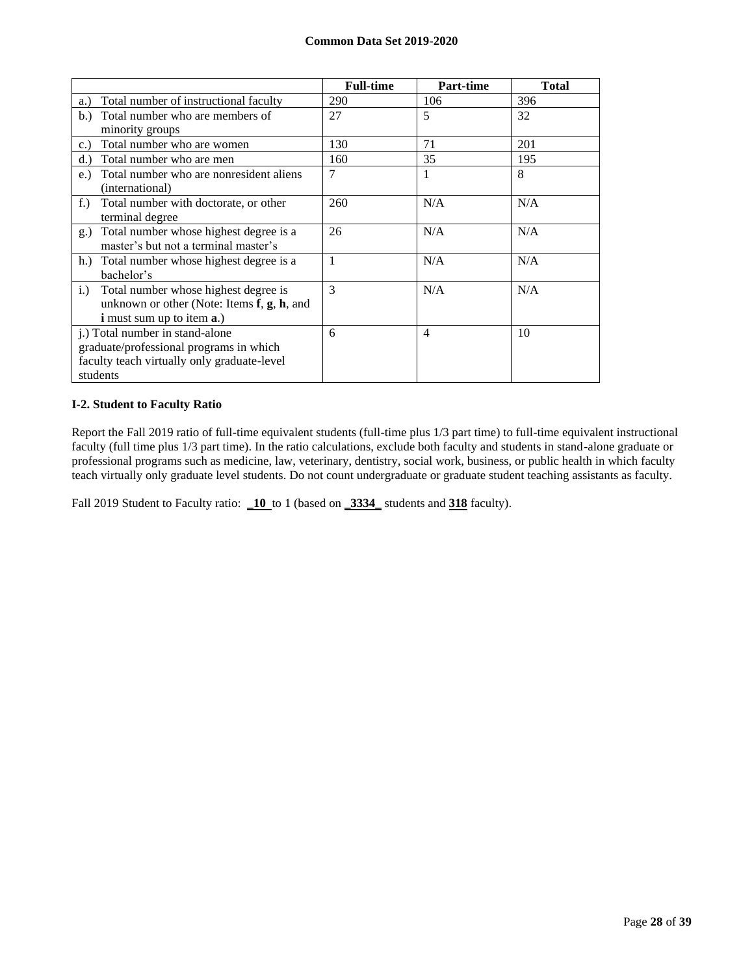|                                                                   | <b>Full-time</b> | <b>Part-time</b> | <b>Total</b> |
|-------------------------------------------------------------------|------------------|------------------|--------------|
| Total number of instructional faculty<br>a.)                      | 290              | 106              | 396          |
| Total number who are members of<br>b.)                            | 27               | 5                | 32           |
| minority groups                                                   |                  |                  |              |
| Total number who are women<br>c.                                  | 130              | 71               | 201          |
| Total number who are men<br>d.                                    | 160              | 35               | 195          |
| Total number who are nonresident aliens<br>e.)<br>(international) | $\overline{7}$   | 1                | 8            |
| $f$ .)<br>Total number with doctorate, or other                   | 260              | N/A              | N/A          |
| terminal degree                                                   |                  |                  |              |
| Total number whose highest degree is a<br>$g_{\cdot}$             | 26               | N/A              | N/A          |
| master's but not a terminal master's                              |                  |                  |              |
| h.) Total number whose highest degree is a                        | $\mathbf{1}$     | N/A              | N/A          |
| bachelor's                                                        |                  |                  |              |
| Total number whose highest degree is<br>i.)                       | $\mathcal{E}$    | N/A              | N/A          |
| unknown or other (Note: Items $f$ , $g$ , $h$ , and               |                  |                  |              |
| <b>i</b> must sum up to item <b>a</b> .)                          |                  |                  |              |
| j.) Total number in stand-alone                                   | 6                | $\overline{4}$   | 10           |
| graduate/professional programs in which                           |                  |                  |              |
| faculty teach virtually only graduate-level                       |                  |                  |              |
| students                                                          |                  |                  |              |

## **I-2. Student to Faculty Ratio**

Report the Fall 2019 ratio of full-time equivalent students (full-time plus 1/3 part time) to full-time equivalent instructional faculty (full time plus 1/3 part time). In the ratio calculations, exclude both faculty and students in stand-alone graduate or professional programs such as medicine, law, veterinary, dentistry, social work, business, or public health in which faculty teach virtually only graduate level students. Do not count undergraduate or graduate student teaching assistants as faculty.

Fall 2019 Student to Faculty ratio: **\_10** to 1 (based on **\_3334\_** students and **318** faculty).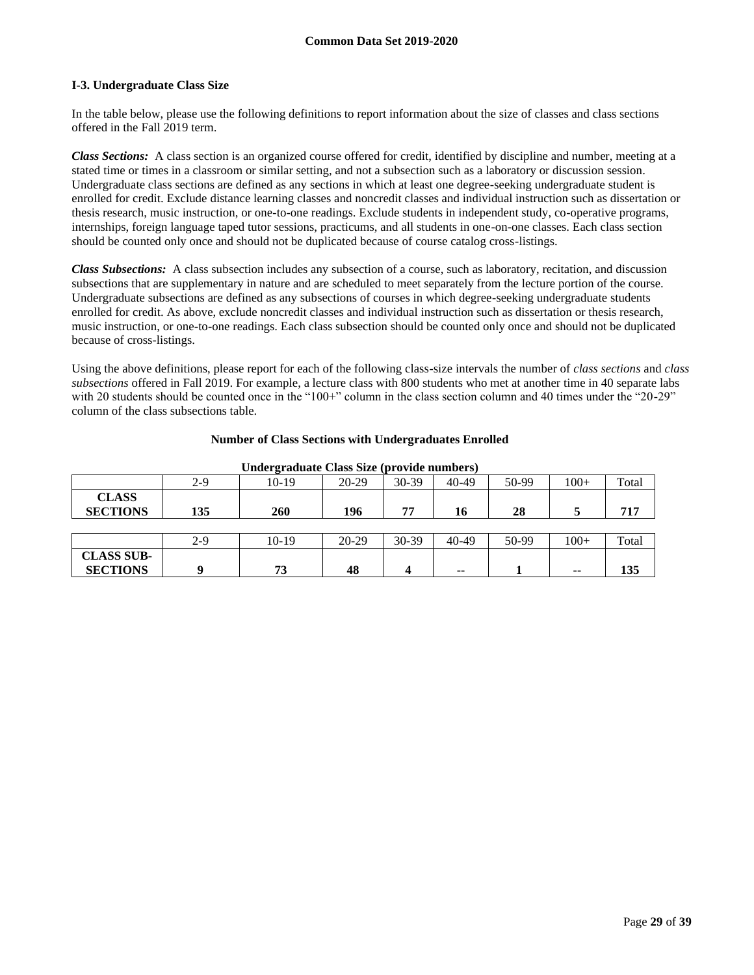## **I-3. Undergraduate Class Size**

In the table below, please use the following definitions to report information about the size of classes and class sections offered in the Fall 2019 term.

*Class Sections:* A class section is an organized course offered for credit, identified by discipline and number, meeting at a stated time or times in a classroom or similar setting, and not a subsection such as a laboratory or discussion session. Undergraduate class sections are defined as any sections in which at least one degree-seeking undergraduate student is enrolled for credit. Exclude distance learning classes and noncredit classes and individual instruction such as dissertation or thesis research, music instruction, or one-to-one readings. Exclude students in independent study, co-operative programs, internships, foreign language taped tutor sessions, practicums, and all students in one-on-one classes. Each class section should be counted only once and should not be duplicated because of course catalog cross-listings.

*Class Subsections:* A class subsection includes any subsection of a course, such as laboratory, recitation, and discussion subsections that are supplementary in nature and are scheduled to meet separately from the lecture portion of the course. Undergraduate subsections are defined as any subsections of courses in which degree-seeking undergraduate students enrolled for credit. As above, exclude noncredit classes and individual instruction such as dissertation or thesis research, music instruction, or one-to-one readings. Each class subsection should be counted only once and should not be duplicated because of cross-listings.

Using the above definitions, please report for each of the following class-size intervals the number of *class sections* and *class subsections* offered in Fall 2019. For example, a lecture class with 800 students who met at another time in 40 separate labs with 20 students should be counted once in the "100+" column in the class section column and 40 times under the "20-29" column of the class subsections table.

| Undergraduate Class Size (provide numbers) |       |         |         |         |       |       |        |       |
|--------------------------------------------|-------|---------|---------|---------|-------|-------|--------|-------|
|                                            | $2-9$ | $10-19$ | $20-29$ | 30-39   | 40-49 | 50-99 | $100+$ | Total |
| <b>CLASS</b><br><b>SECTIONS</b>            | 135   | 260     | 196     | 77      | 16    | 28    |        | 717   |
|                                            |       |         |         |         |       |       |        |       |
|                                            | $2-9$ | $10-19$ | $20-29$ | $30-39$ | 40-49 | 50-99 | $100+$ | Total |
| <b>CLASS SUB-</b><br><b>SECTIONS</b>       | Q     | 73      | 48      |         | --    |       | $-$    | 135   |

#### **Number of Class Sections with Undergraduates Enrolled**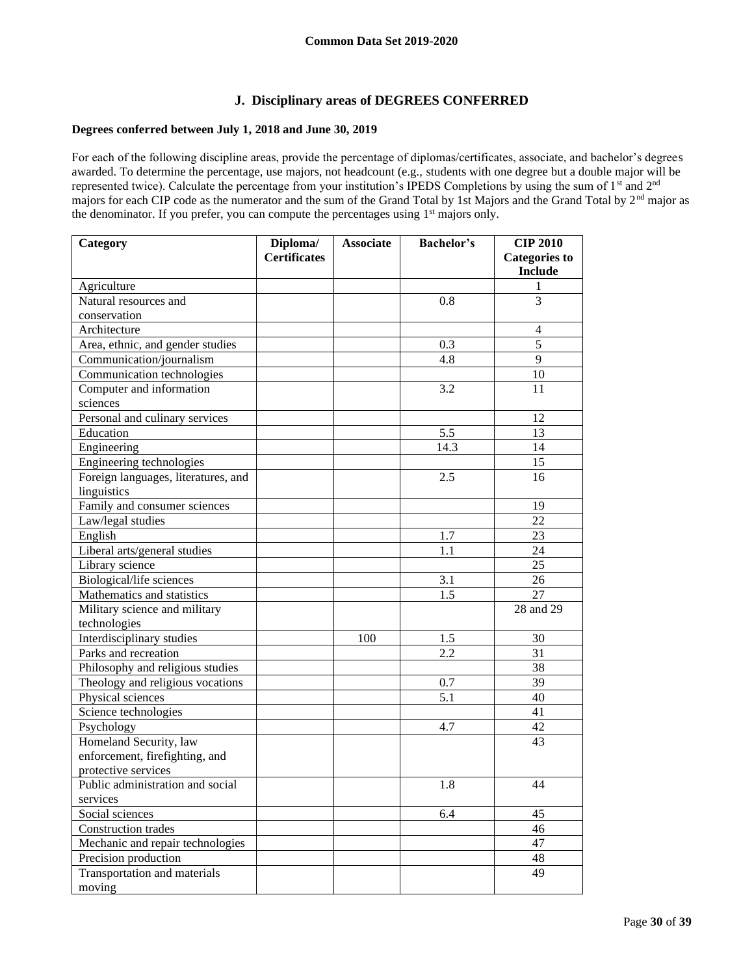## **J. Disciplinary areas of DEGREES CONFERRED**

#### **Degrees conferred between July 1, 2018 and June 30, 2019**

For each of the following discipline areas, provide the percentage of diplomas/certificates, associate, and bachelor's degrees awarded. To determine the percentage, use majors, not headcount (e.g., students with one degree but a double major will be represented twice). Calculate the percentage from your institution's IPEDS Completions by using the sum of 1<sup>st</sup> and 2<sup>nd</sup> majors for each CIP code as the numerator and the sum of the Grand Total by 1st Majors and the Grand Total by  $2<sup>nd</sup>$  major as the denominator. If you prefer, you can compute the percentages using 1<sup>st</sup> majors only.

| Category                            | Diploma/            | <b>Associate</b> | <b>Bachelor's</b> | <b>CIP 2010</b>                        |
|-------------------------------------|---------------------|------------------|-------------------|----------------------------------------|
|                                     | <b>Certificates</b> |                  |                   | <b>Categories to</b><br><b>Include</b> |
| Agriculture                         |                     |                  |                   | 1                                      |
| Natural resources and               |                     |                  | 0.8               | 3                                      |
| conservation                        |                     |                  |                   |                                        |
| Architecture                        |                     |                  |                   | $\overline{4}$                         |
| Area, ethnic, and gender studies    |                     |                  | 0.3               | 5                                      |
| Communication/journalism            |                     |                  | 4.8               | 9                                      |
| Communication technologies          |                     |                  |                   | 10                                     |
| Computer and information            |                     |                  | 3.2               | 11                                     |
| sciences                            |                     |                  |                   |                                        |
| Personal and culinary services      |                     |                  |                   | 12                                     |
| Education                           |                     |                  | 5.5               | 13                                     |
| Engineering                         |                     |                  | 14.3              | 14                                     |
| Engineering technologies            |                     |                  |                   | 15                                     |
| Foreign languages, literatures, and |                     |                  | 2.5               | 16                                     |
| linguistics                         |                     |                  |                   |                                        |
| Family and consumer sciences        |                     |                  |                   | 19                                     |
| Law/legal studies                   |                     |                  |                   | 22                                     |
| English                             |                     |                  | 1.7               | 23                                     |
| Liberal arts/general studies        |                     |                  | 1.1               | 24                                     |
| Library science                     |                     |                  |                   | 25                                     |
| Biological/life sciences            |                     |                  | 3.1               | 26                                     |
| Mathematics and statistics          |                     |                  | 1.5               | 27                                     |
| Military science and military       |                     |                  |                   | 28 and 29                              |
| technologies                        |                     |                  |                   |                                        |
| Interdisciplinary studies           |                     | 100              | 1.5               | 30                                     |
| Parks and recreation                |                     |                  | 2.2               | 31                                     |
| Philosophy and religious studies    |                     |                  |                   | 38                                     |
| Theology and religious vocations    |                     |                  | 0.7               | 39                                     |
| Physical sciences                   |                     |                  | 5.1               | 40                                     |
| Science technologies                |                     |                  |                   | 41                                     |
| Psychology                          |                     |                  | 4.7               | 42                                     |
| Homeland Security, law              |                     |                  |                   | 43                                     |
| enforcement, firefighting, and      |                     |                  |                   |                                        |
| protective services                 |                     |                  |                   |                                        |
| Public administration and social    |                     |                  | 1.8               | 44                                     |
| services                            |                     |                  |                   |                                        |
| Social sciences                     |                     |                  | 6.4               | 45                                     |
| Construction trades                 |                     |                  |                   | 46                                     |
| Mechanic and repair technologies    |                     |                  |                   | 47                                     |
| Precision production                |                     |                  |                   | 48                                     |
| Transportation and materials        |                     |                  |                   | 49                                     |
| moving                              |                     |                  |                   |                                        |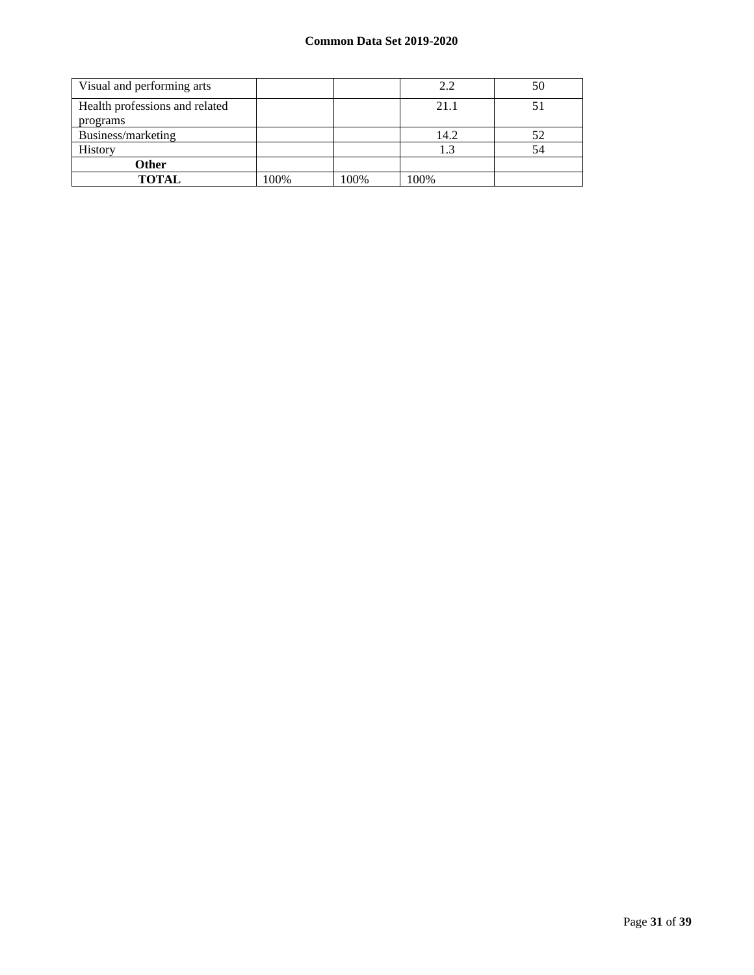| Visual and performing arts                 |      |      | 2.2  | 50 |
|--------------------------------------------|------|------|------|----|
| Health professions and related<br>programs |      |      | 21.1 |    |
| Business/marketing                         |      |      | 14.2 | 52 |
| History                                    |      |      | 1.3  | 54 |
| <b>Other</b>                               |      |      |      |    |
| <b>TOTAL</b>                               | 100% | 100% | 100% |    |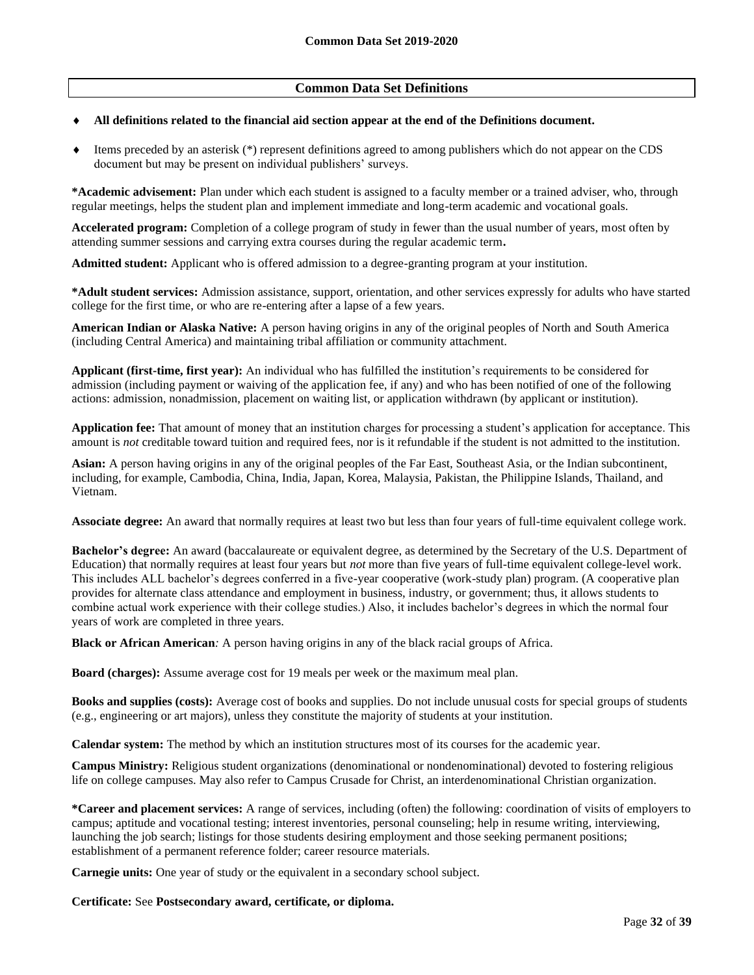## **Common Data Set Definitions**

#### **All definitions related to the financial aid section appear at the end of the Definitions document.**

 $\bullet$  Items preceded by an asterisk (\*) represent definitions agreed to among publishers which do not appear on the CDS document but may be present on individual publishers' surveys.

**\*Academic advisement:** Plan under which each student is assigned to a faculty member or a trained adviser, who, through regular meetings, helps the student plan and implement immediate and long-term academic and vocational goals.

**Accelerated program:** Completion of a college program of study in fewer than the usual number of years, most often by attending summer sessions and carrying extra courses during the regular academic term**.**

**Admitted student:** Applicant who is offered admission to a degree-granting program at your institution.

**\*Adult student services:** Admission assistance, support, orientation, and other services expressly for adults who have started college for the first time, or who are re-entering after a lapse of a few years.

**American Indian or Alaska Native:** A person having origins in any of the original peoples of North and South America (including Central America) and maintaining tribal affiliation or community attachment.

**Applicant (first-time, first year):** An individual who has fulfilled the institution's requirements to be considered for admission (including payment or waiving of the application fee, if any) and who has been notified of one of the following actions: admission, nonadmission, placement on waiting list, or application withdrawn (by applicant or institution).

**Application fee:** That amount of money that an institution charges for processing a student's application for acceptance. This amount is *not* creditable toward tuition and required fees, nor is it refundable if the student is not admitted to the institution.

**Asian:** A person having origins in any of the original peoples of the Far East, Southeast Asia, or the Indian subcontinent, including, for example, Cambodia, China, India, Japan, Korea, Malaysia, Pakistan, the Philippine Islands, Thailand, and Vietnam.

**Associate degree:** An award that normally requires at least two but less than four years of full-time equivalent college work.

**Bachelor's degree:** An award (baccalaureate or equivalent degree, as determined by the Secretary of the U.S. Department of Education) that normally requires at least four years but *not* more than five years of full-time equivalent college-level work. This includes ALL bachelor's degrees conferred in a five-year cooperative (work-study plan) program. (A cooperative plan provides for alternate class attendance and employment in business, industry, or government; thus, it allows students to combine actual work experience with their college studies.) Also, it includes bachelor's degrees in which the normal four years of work are completed in three years.

**Black or African American***:* A person having origins in any of the black racial groups of Africa.

**Board (charges):** Assume average cost for 19 meals per week or the maximum meal plan.

**Books and supplies (costs):** Average cost of books and supplies. Do not include unusual costs for special groups of students (e.g., engineering or art majors), unless they constitute the majority of students at your institution.

**Calendar system:** The method by which an institution structures most of its courses for the academic year.

**Campus Ministry:** Religious student organizations (denominational or nondenominational) devoted to fostering religious life on college campuses. May also refer to Campus Crusade for Christ, an interdenominational Christian organization.

**\*Career and placement services:** A range of services, including (often) the following: coordination of visits of employers to campus; aptitude and vocational testing; interest inventories, personal counseling; help in resume writing, interviewing, launching the job search; listings for those students desiring employment and those seeking permanent positions; establishment of a permanent reference folder; career resource materials.

**Carnegie units:** One year of study or the equivalent in a secondary school subject.

**Certificate:** See **Postsecondary award, certificate, or diploma.**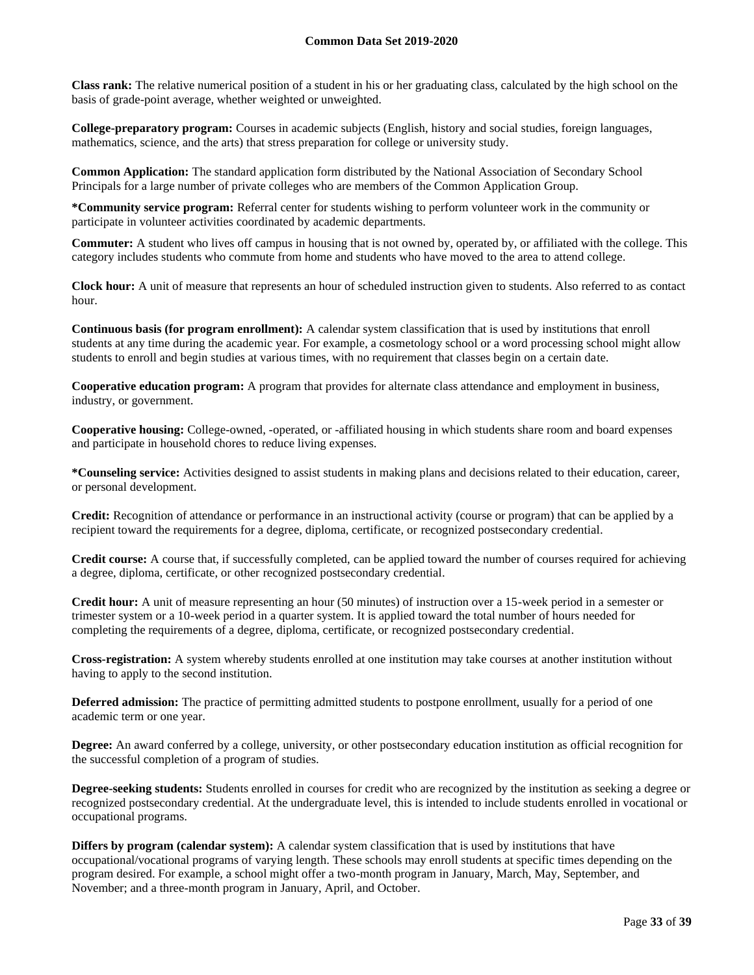**Class rank:** The relative numerical position of a student in his or her graduating class, calculated by the high school on the basis of grade-point average, whether weighted or unweighted.

**College-preparatory program:** Courses in academic subjects (English, history and social studies, foreign languages, mathematics, science, and the arts) that stress preparation for college or university study.

**Common Application:** The standard application form distributed by the National Association of Secondary School Principals for a large number of private colleges who are members of the Common Application Group.

**\*Community service program:** Referral center for students wishing to perform volunteer work in the community or participate in volunteer activities coordinated by academic departments.

**Commuter:** A student who lives off campus in housing that is not owned by, operated by, or affiliated with the college. This category includes students who commute from home and students who have moved to the area to attend college.

**Clock hour:** A unit of measure that represents an hour of scheduled instruction given to students. Also referred to as contact hour.

**Continuous basis (for program enrollment):** A calendar system classification that is used by institutions that enroll students at any time during the academic year. For example, a cosmetology school or a word processing school might allow students to enroll and begin studies at various times, with no requirement that classes begin on a certain date.

**Cooperative education program:** A program that provides for alternate class attendance and employment in business, industry, or government.

**Cooperative housing:** College-owned, -operated, or -affiliated housing in which students share room and board expenses and participate in household chores to reduce living expenses.

**\*Counseling service:** Activities designed to assist students in making plans and decisions related to their education, career, or personal development.

**Credit:** Recognition of attendance or performance in an instructional activity (course or program) that can be applied by a recipient toward the requirements for a degree, diploma, certificate, or recognized postsecondary credential.

**Credit course:** A course that, if successfully completed, can be applied toward the number of courses required for achieving a degree, diploma, certificate, or other recognized postsecondary credential.

**Credit hour:** A unit of measure representing an hour (50 minutes) of instruction over a 15-week period in a semester or trimester system or a 10-week period in a quarter system. It is applied toward the total number of hours needed for completing the requirements of a degree, diploma, certificate, or recognized postsecondary credential.

**Cross-registration:** A system whereby students enrolled at one institution may take courses at another institution without having to apply to the second institution.

**Deferred admission:** The practice of permitting admitted students to postpone enrollment, usually for a period of one academic term or one year.

**Degree:** An award conferred by a college, university, or other postsecondary education institution as official recognition for the successful completion of a program of studies.

**Degree-seeking students:** Students enrolled in courses for credit who are recognized by the institution as seeking a degree or recognized postsecondary credential. At the undergraduate level, this is intended to include students enrolled in vocational or occupational programs.

**Differs by program (calendar system):** A calendar system classification that is used by institutions that have occupational/vocational programs of varying length. These schools may enroll students at specific times depending on the program desired. For example, a school might offer a two-month program in January, March, May, September, and November; and a three-month program in January, April, and October.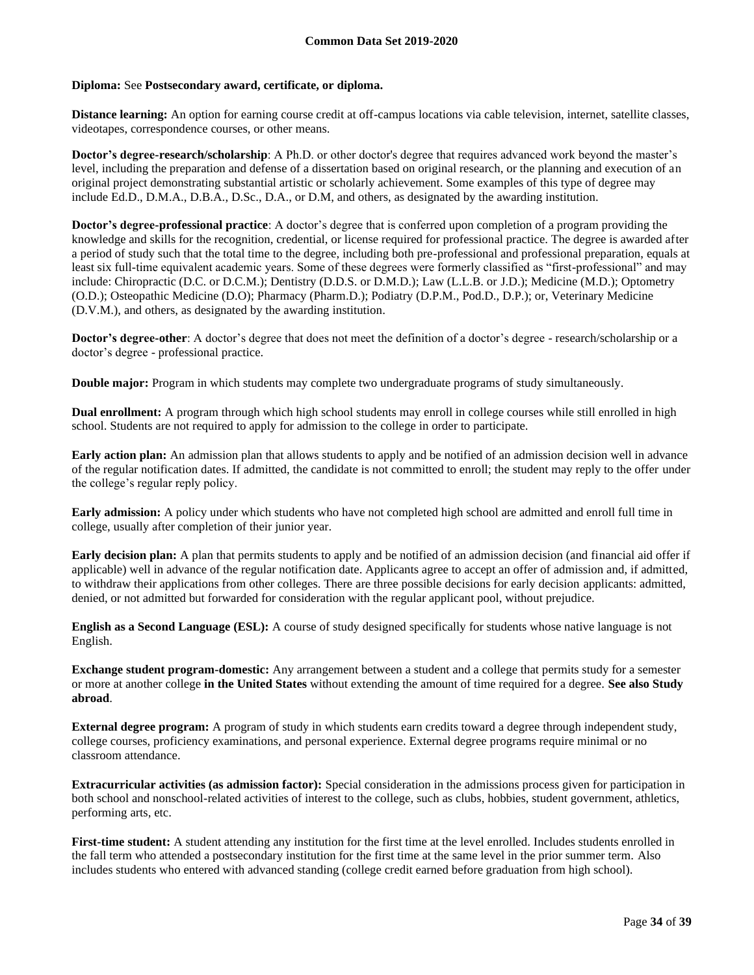#### **Diploma:** See **Postsecondary award, certificate, or diploma.**

**Distance learning:** An option for earning course credit at off-campus locations via cable television, internet, satellite classes, videotapes, correspondence courses, or other means.

**Doctor's degree-research/scholarship**: A Ph.D. or other doctor's degree that requires advanced work beyond the master's level, including the preparation and defense of a dissertation based on original research, or the planning and execution of an original project demonstrating substantial artistic or scholarly achievement. Some examples of this type of degree may include Ed.D., D.M.A., D.B.A., D.Sc., D.A., or D.M, and others, as designated by the awarding institution.

**Doctor's degree-professional practice**: A doctor's degree that is conferred upon completion of a program providing the knowledge and skills for the recognition, credential, or license required for professional practice. The degree is awarded after a period of study such that the total time to the degree, including both pre-professional and professional preparation, equals at least six full-time equivalent academic years. Some of these degrees were formerly classified as "first-professional" and may include: Chiropractic (D.C. or D.C.M.); Dentistry (D.D.S. or D.M.D.); Law (L.L.B. or J.D.); Medicine (M.D.); Optometry (O.D.); Osteopathic Medicine (D.O); Pharmacy (Pharm.D.); Podiatry (D.P.M., Pod.D., D.P.); or, Veterinary Medicine (D.V.M.), and others, as designated by the awarding institution.

**Doctor's degree-other**: A doctor's degree that does not meet the definition of a doctor's degree - research/scholarship or a doctor's degree - professional practice.

**Double major:** Program in which students may complete two undergraduate programs of study simultaneously.

**Dual enrollment:** A program through which high school students may enroll in college courses while still enrolled in high school. Students are not required to apply for admission to the college in order to participate.

**Early action plan:** An admission plan that allows students to apply and be notified of an admission decision well in advance of the regular notification dates. If admitted, the candidate is not committed to enroll; the student may reply to the offer under the college's regular reply policy.

**Early admission:** A policy under which students who have not completed high school are admitted and enroll full time in college, usually after completion of their junior year.

**Early decision plan:** A plan that permits students to apply and be notified of an admission decision (and financial aid offer if applicable) well in advance of the regular notification date. Applicants agree to accept an offer of admission and, if admitted, to withdraw their applications from other colleges. There are three possible decisions for early decision applicants: admitted, denied, or not admitted but forwarded for consideration with the regular applicant pool, without prejudice.

**English as a Second Language (ESL):** A course of study designed specifically for students whose native language is not English.

**Exchange student program-domestic:** Any arrangement between a student and a college that permits study for a semester or more at another college **in the United States** without extending the amount of time required for a degree. **See also Study abroad**.

**External degree program:** A program of study in which students earn credits toward a degree through independent study, college courses, proficiency examinations, and personal experience. External degree programs require minimal or no classroom attendance.

**Extracurricular activities (as admission factor):** Special consideration in the admissions process given for participation in both school and nonschool-related activities of interest to the college, such as clubs, hobbies, student government, athletics, performing arts, etc.

**First-time student:** A student attending any institution for the first time at the level enrolled. Includes students enrolled in the fall term who attended a postsecondary institution for the first time at the same level in the prior summer term. Also includes students who entered with advanced standing (college credit earned before graduation from high school).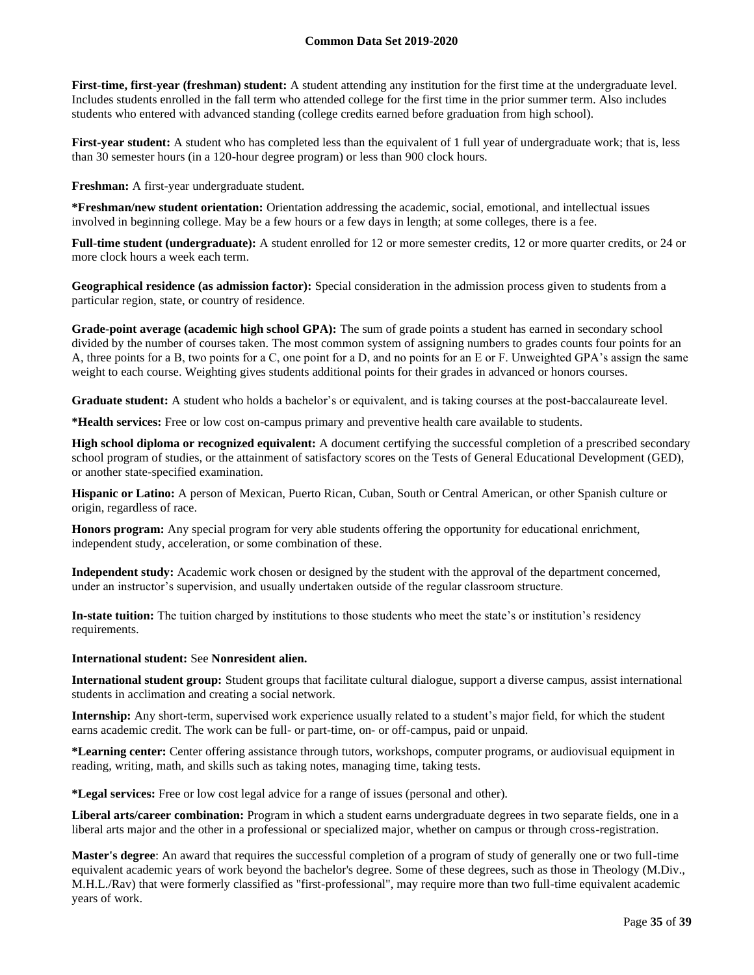**First-time, first-year (freshman) student:** A student attending any institution for the first time at the undergraduate level. Includes students enrolled in the fall term who attended college for the first time in the prior summer term. Also includes students who entered with advanced standing (college credits earned before graduation from high school).

**First-year student:** A student who has completed less than the equivalent of 1 full year of undergraduate work; that is, less than 30 semester hours (in a 120-hour degree program) or less than 900 clock hours.

**Freshman:** A first-year undergraduate student.

**\*Freshman/new student orientation:** Orientation addressing the academic, social, emotional, and intellectual issues involved in beginning college. May be a few hours or a few days in length; at some colleges, there is a fee.

**Full-time student (undergraduate):** A student enrolled for 12 or more semester credits, 12 or more quarter credits, or 24 or more clock hours a week each term.

**Geographical residence (as admission factor):** Special consideration in the admission process given to students from a particular region, state, or country of residence.

**Grade-point average (academic high school GPA):** The sum of grade points a student has earned in secondary school divided by the number of courses taken. The most common system of assigning numbers to grades counts four points for an A, three points for a B, two points for a C, one point for a D, and no points for an E or F. Unweighted GPA's assign the same weight to each course. Weighting gives students additional points for their grades in advanced or honors courses.

**Graduate student:** A student who holds a bachelor's or equivalent, and is taking courses at the post-baccalaureate level.

**\*Health services:** Free or low cost on-campus primary and preventive health care available to students.

**High school diploma or recognized equivalent:** A document certifying the successful completion of a prescribed secondary school program of studies, or the attainment of satisfactory scores on the Tests of General Educational Development (GED), or another state-specified examination.

**Hispanic or Latino:** A person of Mexican, Puerto Rican, Cuban, South or Central American, or other Spanish culture or origin, regardless of race.

**Honors program:** Any special program for very able students offering the opportunity for educational enrichment, independent study, acceleration, or some combination of these.

**Independent study:** Academic work chosen or designed by the student with the approval of the department concerned, under an instructor's supervision, and usually undertaken outside of the regular classroom structure.

**In-state tuition:** The tuition charged by institutions to those students who meet the state's or institution's residency requirements.

#### **International student:** See **Nonresident alien.**

**International student group:** Student groups that facilitate cultural dialogue, support a diverse campus, assist international students in acclimation and creating a social network.

**Internship:** Any short-term, supervised work experience usually related to a student's major field, for which the student earns academic credit. The work can be full- or part-time, on- or off-campus, paid or unpaid.

**\*Learning center:** Center offering assistance through tutors, workshops, computer programs, or audiovisual equipment in reading, writing, math, and skills such as taking notes, managing time, taking tests.

**\*Legal services:** Free or low cost legal advice for a range of issues (personal and other).

**Liberal arts/career combination:** Program in which a student earns undergraduate degrees in two separate fields, one in a liberal arts major and the other in a professional or specialized major, whether on campus or through cross-registration.

**Master's degree**: An award that requires the successful completion of a program of study of generally one or two full-time equivalent academic years of work beyond the bachelor's degree. Some of these degrees, such as those in Theology (M.Div., M.H.L./Rav) that were formerly classified as "first-professional", may require more than two full-time equivalent academic years of work.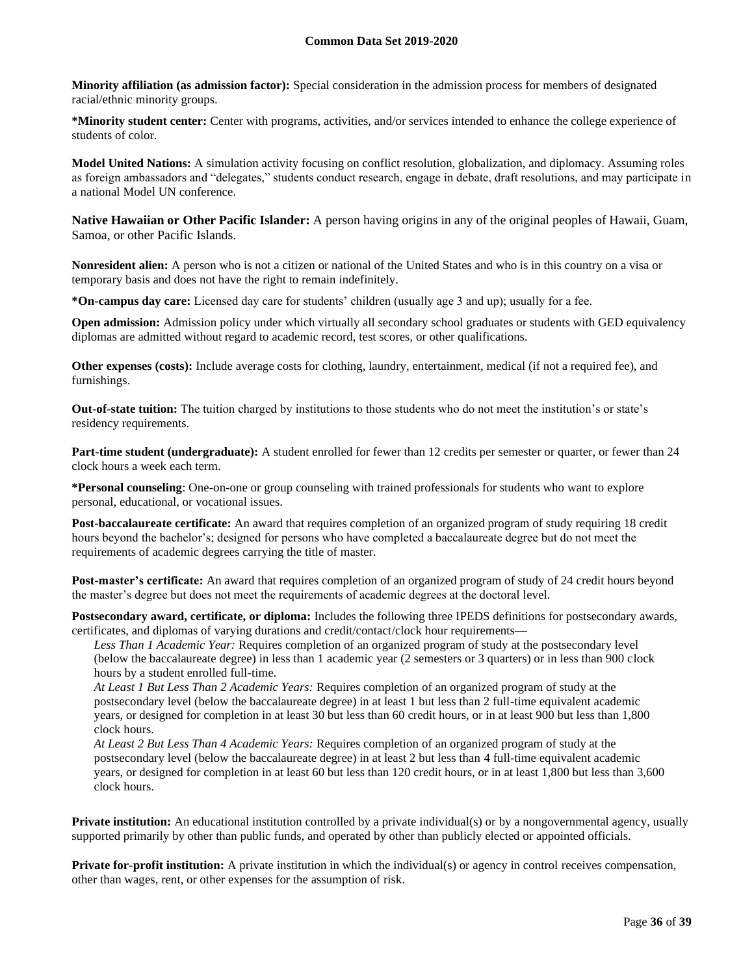**Minority affiliation (as admission factor):** Special consideration in the admission process for members of designated racial/ethnic minority groups.

**\*Minority student center:** Center with programs, activities, and/or services intended to enhance the college experience of students of color.

**Model United Nations:** A simulation activity focusing on conflict resolution, globalization, and diplomacy. Assuming roles as foreign ambassadors and "delegates," students conduct research, engage in debate, draft resolutions, and may participate in a national Model UN conference.

**Native Hawaiian or Other Pacific Islander:** A person having origins in any of the original peoples of Hawaii, Guam, Samoa, or other Pacific Islands.

**Nonresident alien:** A person who is not a citizen or national of the United States and who is in this country on a visa or temporary basis and does not have the right to remain indefinitely.

**\*On-campus day care:** Licensed day care for students' children (usually age 3 and up); usually for a fee.

**Open admission:** Admission policy under which virtually all secondary school graduates or students with GED equivalency diplomas are admitted without regard to academic record, test scores, or other qualifications.

**Other expenses (costs):** Include average costs for clothing, laundry, entertainment, medical (if not a required fee), and furnishings.

**Out-of-state tuition:** The tuition charged by institutions to those students who do not meet the institution's or state's residency requirements.

**Part-time student (undergraduate):** A student enrolled for fewer than 12 credits per semester or quarter, or fewer than 24 clock hours a week each term.

**\*Personal counseling**: One-on-one or group counseling with trained professionals for students who want to explore personal, educational, or vocational issues.

**Post-baccalaureate certificate:** An award that requires completion of an organized program of study requiring 18 credit hours beyond the bachelor's; designed for persons who have completed a baccalaureate degree but do not meet the requirements of academic degrees carrying the title of master.

**Post-master's certificate:** An award that requires completion of an organized program of study of 24 credit hours beyond the master's degree but does not meet the requirements of academic degrees at the doctoral level.

**Postsecondary award, certificate, or diploma:** Includes the following three IPEDS definitions for postsecondary awards, certificates, and diplomas of varying durations and credit/contact/clock hour requirements—

*Less Than 1 Academic Year:* Requires completion of an organized program of study at the postsecondary level (below the baccalaureate degree) in less than 1 academic year (2 semesters or 3 quarters) or in less than 900 clock hours by a student enrolled full-time.

*At Least 1 But Less Than 2 Academic Years:* Requires completion of an organized program of study at the postsecondary level (below the baccalaureate degree) in at least 1 but less than 2 full-time equivalent academic years, or designed for completion in at least 30 but less than 60 credit hours, or in at least 900 but less than 1,800 clock hours.

*At Least 2 But Less Than 4 Academic Years:* Requires completion of an organized program of study at the postsecondary level (below the baccalaureate degree) in at least 2 but less than 4 full-time equivalent academic years, or designed for completion in at least 60 but less than 120 credit hours, or in at least 1,800 but less than 3,600 clock hours.

**Private institution:** An educational institution controlled by a private individual(s) or by a nongovernmental agency, usually supported primarily by other than public funds, and operated by other than publicly elected or appointed officials.

**Private for-profit institution:** A private institution in which the individual(s) or agency in control receives compensation, other than wages, rent, or other expenses for the assumption of risk.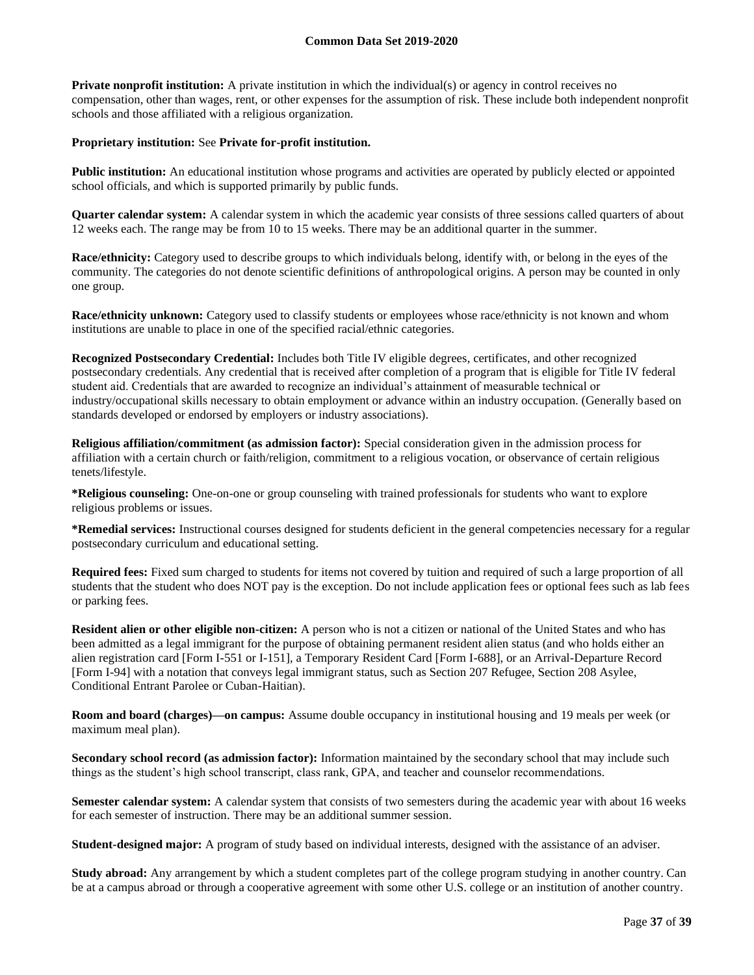**Private nonprofit institution:** A private institution in which the individual(s) or agency in control receives no compensation, other than wages, rent, or other expenses for the assumption of risk. These include both independent nonprofit schools and those affiliated with a religious organization.

#### **Proprietary institution:** See **Private for-profit institution.**

**Public institution:** An educational institution whose programs and activities are operated by publicly elected or appointed school officials, and which is supported primarily by public funds.

**Quarter calendar system:** A calendar system in which the academic year consists of three sessions called quarters of about 12 weeks each. The range may be from 10 to 15 weeks. There may be an additional quarter in the summer.

**Race/ethnicity:** Category used to describe groups to which individuals belong, identify with, or belong in the eyes of the community. The categories do not denote scientific definitions of anthropological origins. A person may be counted in only one group.

**Race/ethnicity unknown:** Category used to classify students or employees whose race/ethnicity is not known and whom institutions are unable to place in one of the specified racial/ethnic categories.

**Recognized Postsecondary Credential:** Includes both Title IV eligible degrees, certificates, and other recognized postsecondary credentials. Any credential that is received after completion of a program that is eligible for Title IV federal student aid. Credentials that are awarded to recognize an individual's attainment of measurable technical or industry/occupational skills necessary to obtain employment or advance within an industry occupation. (Generally based on standards developed or endorsed by employers or industry associations).

**Religious affiliation/commitment (as admission factor):** Special consideration given in the admission process for affiliation with a certain church or faith/religion, commitment to a religious vocation, or observance of certain religious tenets/lifestyle.

**\*Religious counseling:** One-on-one or group counseling with trained professionals for students who want to explore religious problems or issues.

**\*Remedial services:** Instructional courses designed for students deficient in the general competencies necessary for a regular postsecondary curriculum and educational setting.

**Required fees:** Fixed sum charged to students for items not covered by tuition and required of such a large proportion of all students that the student who does NOT pay is the exception. Do not include application fees or optional fees such as lab fees or parking fees.

**Resident alien or other eligible non-citizen:** A person who is not a citizen or national of the United States and who has been admitted as a legal immigrant for the purpose of obtaining permanent resident alien status (and who holds either an alien registration card [Form I-551 or I-151], a Temporary Resident Card [Form I-688], or an Arrival-Departure Record [Form I-94] with a notation that conveys legal immigrant status, such as Section 207 Refugee, Section 208 Asylee, Conditional Entrant Parolee or Cuban-Haitian).

**Room and board (charges)—on campus:** Assume double occupancy in institutional housing and 19 meals per week (or maximum meal plan).

**Secondary school record (as admission factor):** Information maintained by the secondary school that may include such things as the student's high school transcript, class rank, GPA, and teacher and counselor recommendations.

**Semester calendar system:** A calendar system that consists of two semesters during the academic year with about 16 weeks for each semester of instruction. There may be an additional summer session.

**Student-designed major:** A program of study based on individual interests, designed with the assistance of an adviser.

**Study abroad:** Any arrangement by which a student completes part of the college program studying in another country. Can be at a campus abroad or through a cooperative agreement with some other U.S. college or an institution of another country.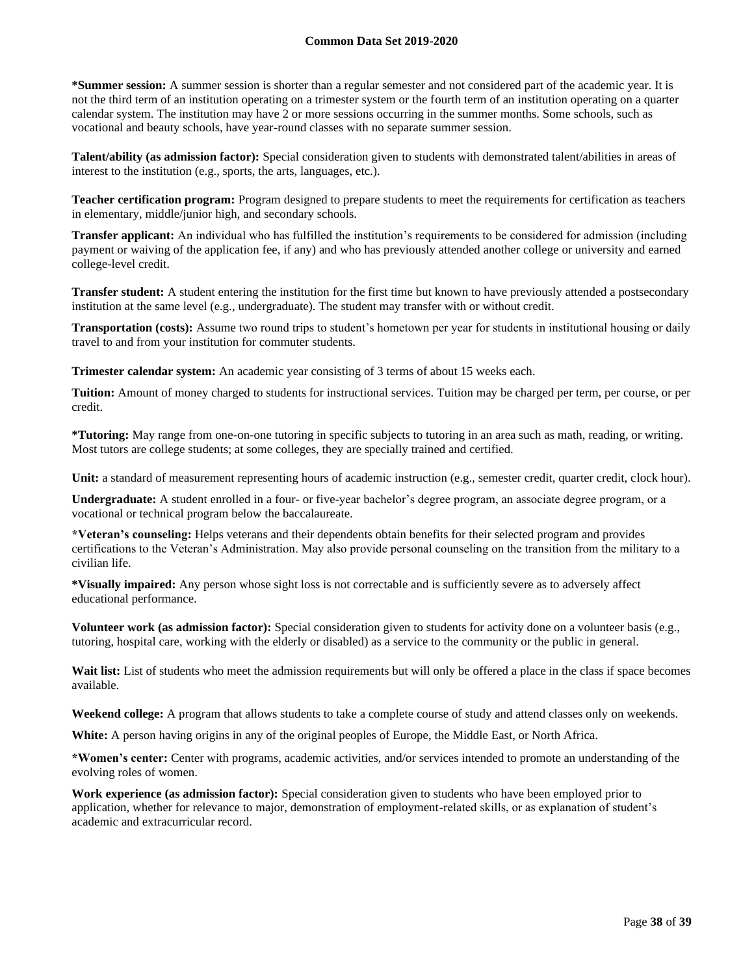**\*Summer session:** A summer session is shorter than a regular semester and not considered part of the academic year. It is not the third term of an institution operating on a trimester system or the fourth term of an institution operating on a quarter calendar system. The institution may have 2 or more sessions occurring in the summer months. Some schools, such as vocational and beauty schools, have year-round classes with no separate summer session.

**Talent/ability (as admission factor):** Special consideration given to students with demonstrated talent/abilities in areas of interest to the institution (e.g., sports, the arts, languages, etc.).

**Teacher certification program:** Program designed to prepare students to meet the requirements for certification as teachers in elementary, middle/junior high, and secondary schools.

**Transfer applicant:** An individual who has fulfilled the institution's requirements to be considered for admission (including payment or waiving of the application fee, if any) and who has previously attended another college or university and earned college-level credit.

**Transfer student:** A student entering the institution for the first time but known to have previously attended a postsecondary institution at the same level (e.g., undergraduate). The student may transfer with or without credit.

**Transportation (costs):** Assume two round trips to student's hometown per year for students in institutional housing or daily travel to and from your institution for commuter students.

**Trimester calendar system:** An academic year consisting of 3 terms of about 15 weeks each.

**Tuition:** Amount of money charged to students for instructional services. Tuition may be charged per term, per course, or per credit.

**\*Tutoring:** May range from one-on-one tutoring in specific subjects to tutoring in an area such as math, reading, or writing. Most tutors are college students; at some colleges, they are specially trained and certified.

**Unit:** a standard of measurement representing hours of academic instruction (e.g., semester credit, quarter credit, clock hour).

**Undergraduate:** A student enrolled in a four- or five-year bachelor's degree program, an associate degree program, or a vocational or technical program below the baccalaureate.

**\*Veteran's counseling:** Helps veterans and their dependents obtain benefits for their selected program and provides certifications to the Veteran's Administration. May also provide personal counseling on the transition from the military to a civilian life.

**\*Visually impaired:** Any person whose sight loss is not correctable and is sufficiently severe as to adversely affect educational performance.

**Volunteer work (as admission factor):** Special consideration given to students for activity done on a volunteer basis (e.g., tutoring, hospital care, working with the elderly or disabled) as a service to the community or the public in general.

Wait list: List of students who meet the admission requirements but will only be offered a place in the class if space becomes available.

**Weekend college:** A program that allows students to take a complete course of study and attend classes only on weekends.

**White:** A person having origins in any of the original peoples of Europe, the Middle East, or North Africa.

**\*Women's center:** Center with programs, academic activities, and/or services intended to promote an understanding of the evolving roles of women.

**Work experience (as admission factor):** Special consideration given to students who have been employed prior to application, whether for relevance to major, demonstration of employment-related skills, or as explanation of student's academic and extracurricular record.